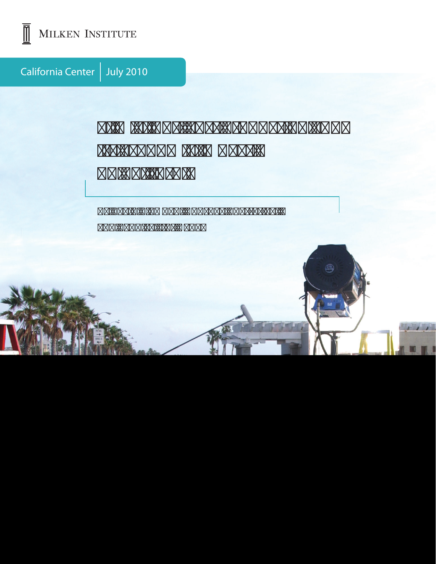

MILKEN INSTITUTE

California Center | July 2010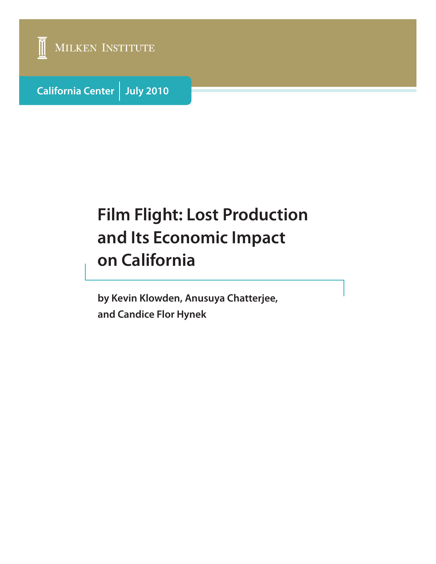

**California Center July 2010**

# **Film Flight: Lost Production and Its Economic Impact on California**

**by Kevin Klowden, Anusuya Chatterjee, and Candice Flor Hynek**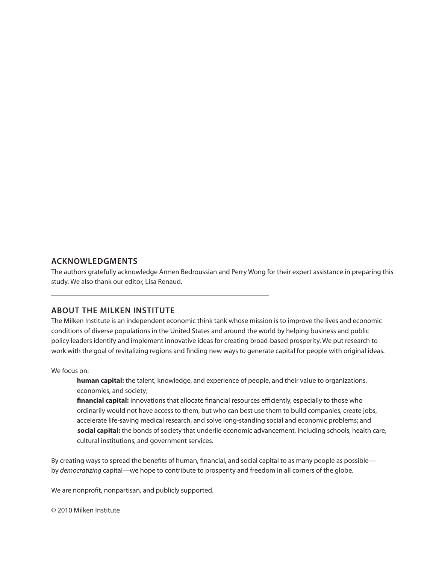#### **Acknowledgments**

The authors gratefully acknowledge Armen Bedroussian and Perry Wong for their expert assistance in preparing this study. We also thank our editor, Lisa Renaud.

#### **About the Milken Institute**

The Milken Institute is an independent economic think tank whose mission is to improve the lives and economic conditions of diverse populations in the United States and around the world by helping business and public policy leaders identify and implement innovative ideas for creating broad-based prosperity. We put research to work with the goal of revitalizing regions and finding new ways to generate capital for people with original ideas.

We focus on:

**human capital:** the talent, knowledge, and experience of people, and their value to organizations, economies, and society;

**financial capital:** innovations that allocate financial resources efficiently, especially to those who ordinarily would not have access to them, but who can best use them to build companies, create jobs, accelerate life-saving medical research, and solve long-standing social and economic problems; and **social capital:** the bonds of society that underlie economic advancement, including schools, health care, cultural institutions, and government services.

By creating ways to spread the benefits of human, financial, and social capital to as many people as possible by *democratizing* capital—we hope to contribute to prosperity and freedom in all corners of the globe.

We are nonprofit, nonpartisan, and publicly supported.

© 2010 Milken Institute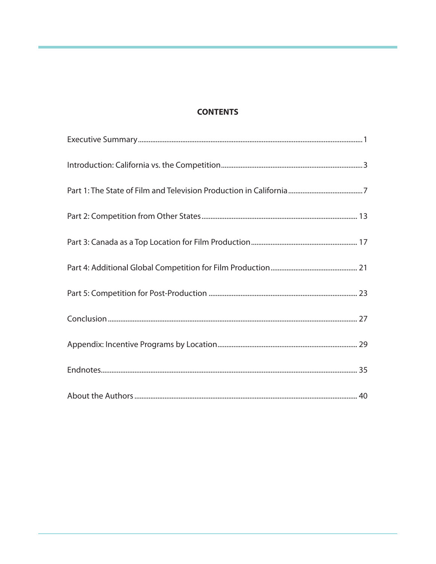## **CONTENTS**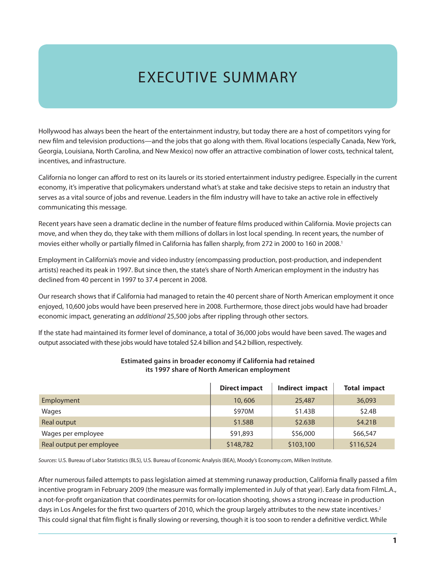# Executive Summary

Hollywood has always been the heart of the entertainment industry, but today there are a host of competitors vying for new film and television productions—and the jobs that go along with them. Rival locations (especially Canada, New York, Georgia, Louisiana, North Carolina, and New Mexico) now offer an attractive combination of lower costs, technical talent, incentives, and infrastructure.

California no longer can afford to rest on its laurels or its storied entertainment industry pedigree. Especially in the current economy, it's imperative that policymakers understand what's at stake and take decisive steps to retain an industry that serves as a vital source of jobs and revenue. Leaders in the film industry will have to take an active role in effectively communicating this message.

Recent years have seen a dramatic decline in the number of feature films produced within California. Movie projects can move, and when they do, they take with them millions of dollars in lost local spending. In recent years, the number of movies either wholly or partially filmed in California has fallen sharply, from 272 in 2000 to 160 in 2008.1

Employment in California's movie and video industry (encompassing production, post-production, and independent artists) reached its peak in 1997. But since then, the state's share of North American employment in the industry has declined from 40 percent in 1997 to 37.4 percent in 2008.

Our research shows that if California had managed to retain the 40 percent share of North American employment it once enjoyed, 10,600 jobs would have been preserved here in 2008. Furthermore, those direct jobs would have had broader economic impact, generating an *additional* 25,500 jobs after rippling through other sectors.

If the state had maintained its former level of dominance, a total of 36,000 jobs would have been saved. The wages and output associated with these jobs would have totaled \$2.4 billion and \$4.2 billion, respectively.

|                          | <b>Direct impact</b> | Indirect impact | <b>Total impact</b> |
|--------------------------|----------------------|-----------------|---------------------|
| Employment               | 10,606               | 25,487          | 36,093              |
| Wages                    | \$970M               | \$1.43B         | \$2.4B              |
| Real output              | \$1.58B              | \$2.63B         | \$4.21B             |
| Wages per employee       | \$91,893             | \$56,000        | \$66,547            |
| Real output per employee | \$148,782            | \$103,100       | \$116,524           |

#### **Estimated gains in broader economy if California had retained its 1997 share of North American employment**

*Sources*: U.S. Bureau of Labor Statistics (BLS), U.S. Bureau of Economic Analysis (BEA), Moody's Economy.com, Milken Institute.

After numerous failed attempts to pass legislation aimed at stemming runaway production, California finally passed a film incentive program in February 2009 (the measure was formally implemented in July of that year). Early data from FilmL.A., a not-for-profit organization that coordinates permits for on-location shooting, shows a strong increase in production days in Los Angeles for the first two quarters of 2010, which the group largely attributes to the new state incentives.<sup>2</sup> This could signal that film flight is finally slowing or reversing, though it is too soon to render a definitive verdict. While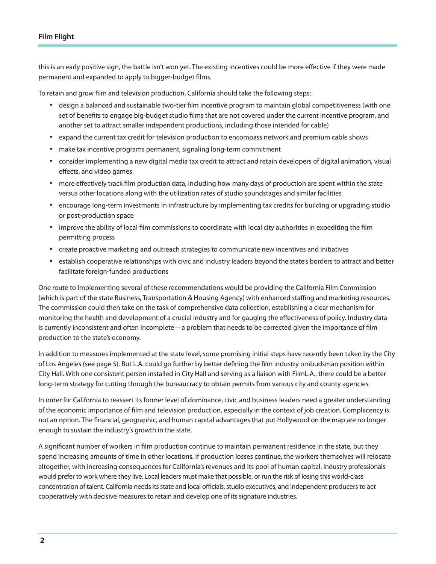this is an early positive sign, the battle isn't won yet. The existing incentives could be more effective if they were made permanent and expanded to apply to bigger-budget films.

To retain and grow film and television production, California should take the following steps:

- • design a balanced and sustainable two-tier film incentive program to maintain global competitiveness (with one set of benefits to engage big-budget studio films that are not covered under the current incentive program, and another set to attract smaller independent productions, including those intended for cable)
- • expand the current tax credit for television production to encompass network and premium cable shows
- make tax incentive programs permanent, signaling long-term commitment
- • consider implementing a new digital media tax credit to attract and retain developers of digital animation, visual effects, and video games
- • more effectively track film production data, including how many days of production are spent within the state versus other locations along with the utilization rates of studio soundstages and similar facilities
- • encourage long-term investments in infrastructure by implementing tax credits for building or upgrading studio or post-production space
- • improve the ability of local film commissions to coordinate with local city authorities in expediting the film permitting process
- • create proactive marketing and outreach strategies to communicate new incentives and initiatives
- • establish cooperative relationships with civic and industry leaders beyond the state's borders to attract and better facilitate foreign-funded productions

One route to implementing several of these recommendations would be providing the California Film Commission (which is part of the state Business, Transportation & Housing Agency) with enhanced staffing and marketing resources. The commission could then take on the task of comprehensive data collection, establishing a clear mechanism for monitoring the health and development of a crucial industry and for gauging the effectiveness of policy. Industry data is currently inconsistent and often incomplete—a problem that needs to be corrected given the importance of film production to the state's economy.

In addition to measures implemented at the state level, some promising initial steps have recently been taken by the City of Los Angeles (see page 5). But L.A. could go further by better defining the film industry ombudsman position within City Hall. With one consistent person installed in City Hall and serving as a liaison with FilmL.A., there could be a better long-term strategy for cutting through the bureaucracy to obtain permits from various city and county agencies.

In order for California to reassert its former level of dominance, civic and business leaders need a greater understanding of the economic importance of film and television production, especially in the context of job creation. Complacency is not an option. The financial, geographic, and human capital advantages that put Hollywood on the map are no longer enough to sustain the industry's growth in the state.

A significant number of workers in film production continue to maintain permanent residence in the state, but they spend increasing amounts of time in other locations. If production losses continue, the workers themselves will relocate altogether, with increasing consequences for California's revenues and its pool of human capital. Industry professionals would prefer to work where they live. Local leaders must make that possible, or run the risk of losing this world-class concentration of talent. California needs its state and local officials, studio executives, and independent producers to act cooperatively with decisive measures to retain and develop one of its signature industries.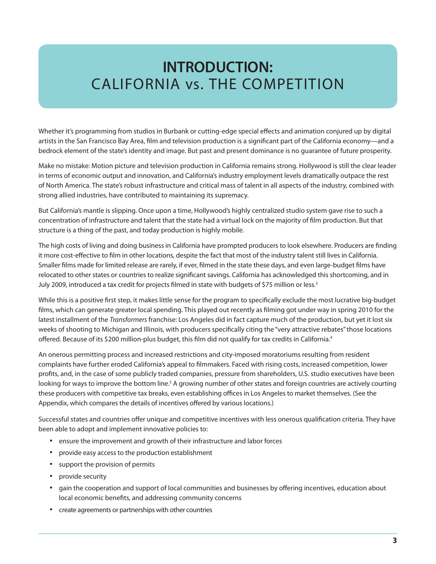## **INTRODUCTION:** California vs. the Competition

Whether it's programming from studios in Burbank or cutting-edge special effects and animation conjured up by digital artists in the San Francisco Bay Area, film and television production is a significant part of the California economy—and a bedrock element of the state's identity and image. But past and present dominance is no guarantee of future prosperity.

Make no mistake: Motion picture and television production in California remains strong. Hollywood is still the clear leader in terms of economic output and innovation, and California's industry employment levels dramatically outpace the rest of North America. The state's robust infrastructure and critical mass of talent in all aspects of the industry, combined with strong allied industries, have contributed to maintaining its supremacy.

But California's mantle is slipping. Once upon a time, Hollywood's highly centralized studio system gave rise to such a concentration of infrastructure and talent that the state had a virtual lock on the majority of film production. But that structure is a thing of the past, and today production is highly mobile.

The high costs of living and doing business in California have prompted producers to look elsewhere. Producers are finding it more cost-effective to film in other locations, despite the fact that most of the industry talent still lives in California. Smaller films made for limited release are rarely, if ever, filmed in the state these days, and even large-budget films have relocated to other states or countries to realize significant savings. California has acknowledged this shortcoming, and in July 2009, introduced a tax credit for projects filmed in state with budgets of \$75 million or less.<sup>3</sup>

While this is a positive first step, it makes little sense for the program to specifically exclude the most lucrative big-budget films, which can generate greater local spending. This played out recently as filming got under way in spring 2010 for the latest installment of the *Transformers* franchise: Los Angeles did in fact capture much of the production, but yet it lost six weeks of shooting to Michigan and Illinois, with producers specifically citing the "very attractive rebates" those locations offered. Because of its \$200 million-plus budget, this film did not qualify for tax credits in California.4

An onerous permitting process and increased restrictions and city-imposed moratoriums resulting from resident complaints have further eroded California's appeal to filmmakers. Faced with rising costs, increased competition, lower profits, and, in the case of some publicly traded companies, pressure from shareholders, U.S. studio executives have been looking for ways to improve the bottom line.<sup>5</sup> A growing number of other states and foreign countries are actively courting these producers with competitive tax breaks, even establishing offices in Los Angeles to market themselves. (See the Appendix, which compares the details of incentives offered by various locations.)

Successful states and countries offer unique and competitive incentives with less onerous qualification criteria. They have been able to adopt and implement innovative policies to:

- ensure the improvement and growth of their infrastructure and labor forces
- • provide easy access to the production establishment
- support the provision of permits
- provide security
- • gain the cooperation and support of local communities and businesses by offering incentives, education about local economic benefits, and addressing community concerns
- • create agreements or partnerships with other countries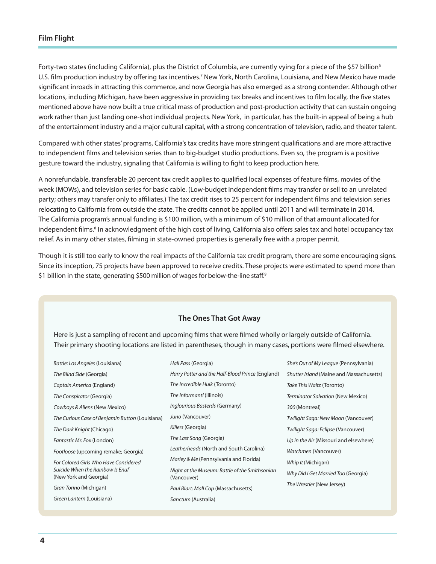Forty-two states (including California), plus the District of Columbia, are currently vying for a piece of the \$57 billion<sup>6</sup> U.S. film production industry by offering tax incentives.<sup>7</sup> New York, North Carolina, Louisiana, and New Mexico have made significant inroads in attracting this commerce, and now Georgia has also emerged as a strong contender. Although other locations, including Michigan, have been aggressive in providing tax breaks and incentives to film locally, the five states mentioned above have now built a true critical mass of production and post-production activity that can sustain ongoing work rather than just landing one-shot individual projects. New York, in particular, has the built-in appeal of being a hub of the entertainment industry and a major cultural capital, with a strong concentration of television, radio, and theater talent.

Compared with other states' programs, California's tax credits have more stringent qualifications and are more attractive to independent films and television series than to big-budget studio productions. Even so, the program is a positive gesture toward the industry, signaling that California is willing to fight to keep production here.

A nonrefundable, transferable 20 percent tax credit applies to qualified local expenses of feature films, movies of the week (MOWs), and television series for basic cable. (Low-budget independent films may transfer or sell to an unrelated party; others may transfer only to affiliates.) The tax credit rises to 25 percent for independent films and television series relocating to California from outside the state. The credits cannot be applied until 2011 and will terminate in 2014. The California program's annual funding is \$100 million, with a minimum of \$10 million of that amount allocated for independent films.<sup>8</sup> In acknowledgment of the high cost of living, California also offers sales tax and hotel occupancy tax relief. As in many other states, filming in state-owned properties is generally free with a proper permit.

Though it is still too early to know the real impacts of the California tax credit program, there are some encouraging signs. Since its inception, 75 projects have been approved to receive credits. These projects were estimated to spend more than \$1 billion in the state, generating \$500 million of wages for below-the-line staff.<sup>9</sup>

#### **The Ones That Got Away**

Here is just a sampling of recent and upcoming films that were filmed wholly or largely outside of California. Their primary shooting locations are listed in parentheses, though in many cases, portions were filmed elsewhere.

| Battle: Los Angeles (Louisiana)                            | Hall Pass (Georgia)                                           | She's Out of My League (Pennsylvania)    |
|------------------------------------------------------------|---------------------------------------------------------------|------------------------------------------|
| The Blind Side (Georgia)                                   | Harry Potter and the Half-Blood Prince (England)              | Shutter Island (Maine and Massachusetts) |
| Captain America (England)                                  | The Incredible Hulk (Toronto)                                 | Take This Waltz (Toronto)                |
| The Conspirator (Georgia)                                  | The Informant! (Illinois)                                     | <b>Terminator Salvation (New Mexico)</b> |
| Cowboys & Aliens (New Mexico)                              | Inglourious Basterds (Germany)                                | 300 (Montreal)                           |
| The Curious Case of Benjamin Button (Louisiana)            | Juno (Vancouver)                                              | Twilight Saga: New Moon (Vancouver)      |
| The Dark Knight (Chicago)                                  | Killers (Georgia)                                             | Twilight Saga: Eclipse (Vancouver)       |
| Fantastic Mr. Fox (London)                                 | The Last Song (Georgia)                                       | Up in the Air (Missouri and elsewhere)   |
| Footloose (upcoming remake; Georgia)                       | Leatherheads (North and South Carolina)                       | Watchmen (Vancouver)                     |
| For Colored Girls Who Have Considered                      | Marley & Me (Pennsylvania and Florida)                        | Whip It (Michigan)                       |
| Suicide When the Rainbow Is Enuf<br>(New York and Georgia) | Night at the Museum: Battle of the Smithsonian<br>(Vancouver) | Why Did I Get Married Too (Georgia)      |
| Gran Torino (Michigan)                                     | Paul Blart: Mall Cop (Massachusetts)                          | The Wrestler (New Jersey)                |
| Green Lantern (Louisiana)                                  | Sanctum (Australia)                                           |                                          |
|                                                            |                                                               |                                          |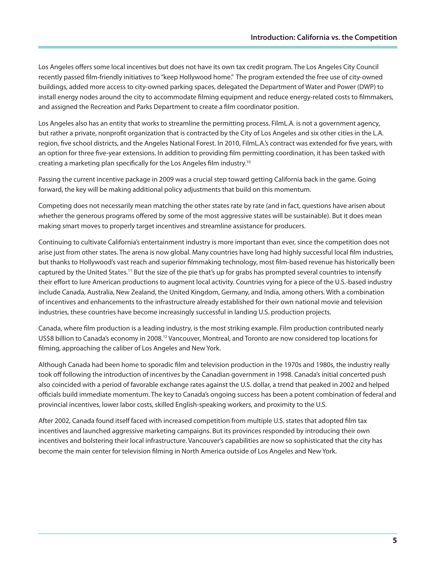Los Angeles offers some local incentives but does not have its own tax credit program. The Los Angeles City Council recently passed film-friendly initiatives to "keep Hollywood home." The program extended the free use of city-owned buildings, added more access to city-owned parking spaces, delegated the Department of Water and Power (DWP) to install energy nodes around the city to accommodate filming equipment and reduce energy-related costs to filmmakers, and assigned the Recreation and Parks Department to create a film coordinator position.

Los Angeles also has an entity that works to streamline the permitting process. FilmL.A. is not a government agency, but rather a private, nonprofit organization that is contracted by the City of Los Angeles and six other cities in the L.A. region, five school districts, and the Angeles National Forest. In 2010, FilmL.A.'s contract was extended for five years, with an option for three five-year extensions. In addition to providing film permitting coordination, it has been tasked with creating a marketing plan specifically for the Los Angeles film industry.10

Passing the current incentive package in 2009 was a crucial step toward getting California back in the game. Going forward, the key will be making additional policy adjustments that build on this momentum.

Competing does not necessarily mean matching the other states rate by rate (and in fact, questions have arisen about whether the generous programs offered by some of the most aggressive states will be sustainable). But it does mean making smart moves to properly target incentives and streamline assistance for producers.

Continuing to cultivate California's entertainment industry is more important than ever, since the competition does not arise just from other states. The arena is now global. Many countries have long had highly successful local film industries, but thanks to Hollywood's vast reach and superior filmmaking technology, most film-based revenue has historically been captured by the United States.<sup>11</sup> But the size of the pie that's up for grabs has prompted several countries to intensify their effort to lure American productions to augment local activity. Countries vying for a piece of the U.S.-based industry include Canada, Australia, New Zealand, the United Kingdom, Germany, and India, among others. With a combination of incentives and enhancements to the infrastructure already established for their own national movie and television industries, these countries have become increasingly successful in landing U.S. production projects.

Canada, where film production is a leading industry, is the most striking example. Film production contributed nearly US\$8 billion to Canada's economy in 2008.12 Vancouver, Montreal, and Toronto are now considered top locations for filming, approaching the caliber of Los Angeles and New York.

Although Canada had been home to sporadic film and television production in the 1970s and 1980s, the industry really took off following the introduction of incentives by the Canadian government in 1998. Canada's initial concerted push also coincided with a period of favorable exchange rates against the U.S. dollar, a trend that peaked in 2002 and helped officials build immediate momentum. The key to Canada's ongoing success has been a potent combination of federal and provincial incentives, lower labor costs, skilled English-speaking workers, and proximity to the U.S.

After 2002, Canada found itself faced with increased competition from multiple U.S. states that adopted film tax incentives and launched aggressive marketing campaigns. But its provinces responded by introducing their own incentives and bolstering their local infrastructure. Vancouver's capabilities are now so sophisticated that the city has become the main center for television filming in North America outside of Los Angeles and New York.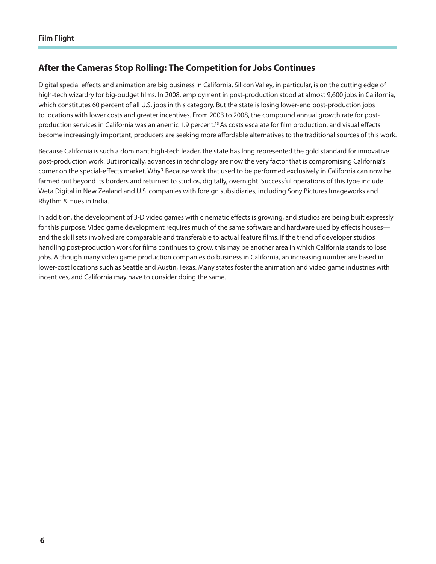## **After the Cameras Stop Rolling: The Competition for Jobs Continues**

Digital special effects and animation are big business in California. Silicon Valley, in particular, is on the cutting edge of high-tech wizardry for big-budget films. In 2008, employment in post-production stood at almost 9,600 jobs in California, which constitutes 60 percent of all U.S. jobs in this category. But the state is losing lower-end post-production jobs to locations with lower costs and greater incentives. From 2003 to 2008, the compound annual growth rate for postproduction services in California was an anemic 1.9 percent.<sup>13</sup> As costs escalate for film production, and visual effects become increasingly important, producers are seeking more affordable alternatives to the traditional sources of this work.

Because California is such a dominant high-tech leader, the state has long represented the gold standard for innovative post-production work. But ironically, advances in technology are now the very factor that is compromising California's corner on the special-effects market. Why? Because work that used to be performed exclusively in California can now be farmed out beyond its borders and returned to studios, digitally, overnight. Successful operations of this type include Weta Digital in New Zealand and U.S. companies with foreign subsidiaries, including Sony Pictures Imageworks and Rhythm & Hues in India.

In addition, the development of 3-D video games with cinematic effects is growing, and studios are being built expressly for this purpose. Video game development requires much of the same software and hardware used by effects houses and the skill sets involved are comparable and transferable to actual feature films. If the trend of developer studios handling post-production work for films continues to grow, this may be another area in which California stands to lose jobs. Although many video game production companies do business in California, an increasing number are based in lower-cost locations such as Seattle and Austin, Texas. Many states foster the animation and video game industries with incentives, and California may have to consider doing the same.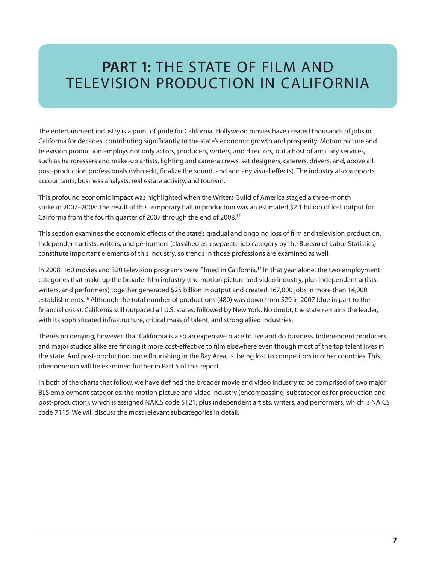## **PART 1: THE STATE OF FILM AND** Television Production in California

The entertainment industry is a point of pride for California. Hollywood movies have created thousands of jobs in California for decades, contributing significantly to the state's economic growth and prosperity. Motion picture and television production employs not only actors, producers, writers, and directors, but a host of ancillary services, such as hairdressers and make-up artists, lighting and camera crews, set designers, caterers, drivers, and, above all, post-production professionals (who edit, finalize the sound, and add any visual effects). The industry also supports accountants, business analysts, real estate activity, and tourism.

This profound economic impact was highlighted when the Writers Guild of America staged a three-month strike in 2007–2008: The result of this temporary halt in production was an estimated \$2.1 billion of lost output for California from the fourth quarter of 2007 through the end of 2008.14

This section examines the economic effects of the state's gradual and ongoing loss of film and television production. Independent artists, writers, and performers (classified as a separate job category by the Bureau of Labor Statistics) constitute important elements of this industry, so trends in those professions are examined as well.

In 2008, 160 movies and 320 television programs were filmed in California.<sup>15</sup> In that year alone, the two employment categories that make up the broader film industry (the motion picture and video industry, plus independent artists, writers, and performers) together generated \$25 billion in output and created 167,000 jobs in more than 14,000 establishments.16 Although the total number of productions (480) was down from 529 in 2007 (due in part to the financial crisis), California still outpaced all U.S. states, followed by New York. No doubt, the state remains the leader, with its sophisticated infrastructure, critical mass of talent, and strong allied industries.

There's no denying, however, that California is also an expensive place to live and do business. Independent producers and major studios alike are finding it more cost-effective to film elsewhere even though most of the top talent lives in the state. And post-production, once flourishing in the Bay Area, is being lost to competitors in other countries. This phenomenon will be examined further in Part 5 of this report.

In both of the charts that follow, we have defined the broader movie and video industry to be comprised of two major BLS employment categories: the motion picture and video industry (encompassing subcategories for production and post-production), which is assigned NAICS code 5121; plus independent artists, writers, and performers, which is NAICS code 7115. We will discuss the most relevant subcategories in detail.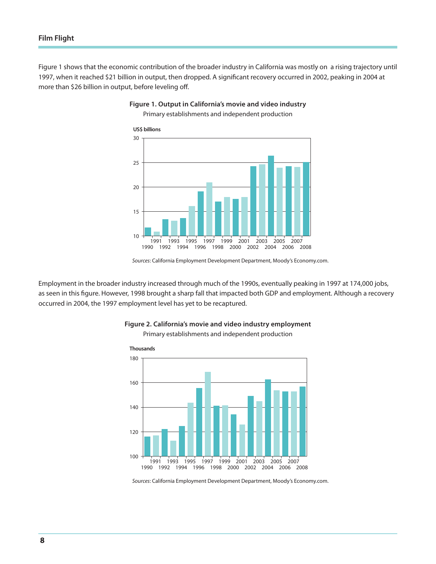Figure 1 shows that the economic contribution of the broader industry in California was mostly on a rising trajectory until 1997, when it reached \$21 billion in output, then dropped. A significant recovery occurred in 2002, peaking in 2004 at more than \$26 billion in output, before leveling off.



### **Figure 1. Output in California's movie and video industry**

Primary establishments and independent production

Employment in the broader industry increased through much of the 1990s, eventually peaking in 1997 at 174,000 jobs, as seen in this figure. However, 1998 brought a sharp fall that impacted both GDP and employment. Although a recovery occurred in 2004, the 1997 employment level has yet to be recaptured.



#### **Figure 2. California's movie and video industry employment**

Primary establishments and independent production

*Sources*: California Employment Development Department, Moody's Economy.com.

*Sources*: California Employment Development Department, Moody's Economy.com.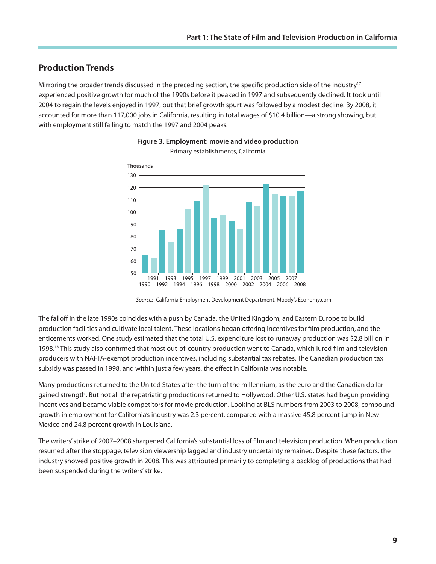## **Production Trends**

Mirroring the broader trends discussed in the preceding section, the specific production side of the industry<sup>17</sup> experienced positive growth for much of the 1990s before it peaked in 1997 and subsequently declined. It took until 2004 to regain the levels enjoyed in 1997, but that brief growth spurt was followed by a modest decline. By 2008, it accounted for more than 117,000 jobs in California, resulting in total wages of \$10.4 billion—a strong showing, but with employment still failing to match the 1997 and 2004 peaks.





The falloff in the late 1990s coincides with a push by Canada, the United Kingdom, and Eastern Europe to build production facilities and cultivate local talent. These locations began offering incentives for film production, and the enticements worked. One study estimated that the total U.S. expenditure lost to runaway production was \$2.8 billion in 1998.<sup>18</sup> This study also confirmed that most out-of-country production went to Canada, which lured film and television producers with NAFTA-exempt production incentives, including substantial tax rebates. The Canadian production tax subsidy was passed in 1998, and within just a few years, the effect in California was notable.

Many productions returned to the United States after the turn of the millennium, as the euro and the Canadian dollar gained strength. But not all the repatriating productions returned to Hollywood. Other U.S. states had begun providing incentives and became viable competitors for movie production. Looking at BLS numbers from 2003 to 2008, compound growth in employment for California's industry was 2.3 percent, compared with a massive 45.8 percent jump in New Mexico and 24.8 percent growth in Louisiana.

The writers' strike of 2007–2008 sharpened California's substantial loss of film and television production. When production resumed after the stoppage, television viewership lagged and industry uncertainty remained. Despite these factors, the industry showed positive growth in 2008. This was attributed primarily to completing a backlog of productions that had been suspended during the writers' strike.

*Sources*: California Employment Development Department, Moody's Economy.com.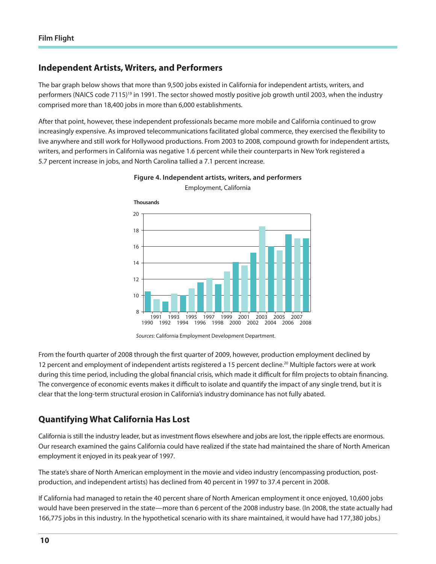### **Independent Artists, Writers, and Performers**

The bar graph below shows that more than 9,500 jobs existed in California for independent artists, writers, and performers (NAICS code 7115)<sup>19</sup> in 1991. The sector showed mostly positive job growth until 2003, when the industry comprised more than 18,400 jobs in more than 6,000 establishments.

After that point, however, these independent professionals became more mobile and California continued to grow increasingly expensive. As improved telecommunications facilitated global commerce, they exercised the flexibility to live anywhere and still work for Hollywood productions. From 2003 to 2008, compound growth for independent artists, writers, and performers in California was negative 1.6 percent while their counterparts in New York registered a 5.7 percent increase in jobs, and North Carolina tallied a 7.1 percent increase.



**Figure 4. Independent artists, writers, and performers** Employment, California

From the fourth quarter of 2008 through the first quarter of 2009, however, production employment declined by 12 percent and employment of independent artists registered a 15 percent decline.<sup>20</sup> Multiple factors were at work during this time period, including the global financial crisis, which made it difficult for film projects to obtain financing. The convergence of economic events makes it difficult to isolate and quantify the impact of any single trend, but it is clear that the long-term structural erosion in California's industry dominance has not fully abated.

## **Quantifying What California Has Lost**

California is still the industry leader, but as investment flows elsewhere and jobs are lost, the ripple effects are enormous. Our research examined the gains California could have realized if the state had maintained the share of North American employment it enjoyed in its peak year of 1997.

The state's share of North American employment in the movie and video industry (encompassing production, postproduction, and independent artists) has declined from 40 percent in 1997 to 37.4 percent in 2008.

If California had managed to retain the 40 percent share of North American employment it once enjoyed, 10,600 jobs would have been preserved in the state—more than 6 percent of the 2008 industry base. (In 2008, the state actually had 166,775 jobs in this industry. In the hypothetical scenario with its share maintained, it would have had 177,380 jobs.)

*Sources*: California Employment Development Department.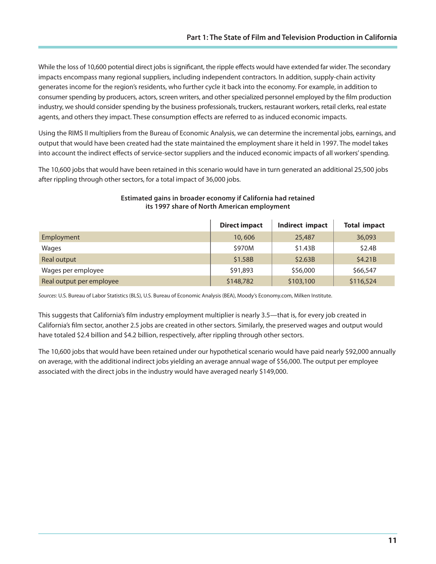While the loss of 10,600 potential direct jobs is significant, the ripple effects would have extended far wider. The secondary impacts encompass many regional suppliers, including independent contractors. In addition, supply-chain activity generates income for the region's residents, who further cycle it back into the economy. For example, in addition to consumer spending by producers, actors, screen writers, and other specialized personnel employed by the film production industry, we should consider spending by the business professionals, truckers, restaurant workers, retail clerks, real estate agents, and others they impact. These consumption effects are referred to as induced economic impacts.

Using the RIMS II multipliers from the Bureau of Economic Analysis, we can determine the incremental jobs, earnings, and output that would have been created had the state maintained the employment share it held in 1997. The model takes into account the indirect effects of service-sector suppliers and the induced economic impacts of all workers' spending.

The 10,600 jobs that would have been retained in this scenario would have in turn generated an additional 25,500 jobs after rippling through other sectors, for a total impact of 36,000 jobs.

|                          | <b>Direct impact</b> | Indirect impact | <b>Total impact</b> |
|--------------------------|----------------------|-----------------|---------------------|
| Employment               | 10,606               | 25,487          | 36,093              |
| Wages                    | \$970M               | \$1.43B         | \$2.4B              |
| Real output              | \$1.58B              | \$2.63B         | \$4.21B             |
| Wages per employee       | \$91,893             | \$56,000        | \$66,547            |
| Real output per employee | \$148,782            | \$103,100       | \$116,524           |

#### **Estimated gains in broader economy if California had retained its 1997 share of North American employment**

*Sources*: U.S. Bureau of Labor Statistics (BLS), U.S. Bureau of Economic Analysis (BEA), Moody's Economy.com, Milken Institute.

This suggests that California's film industry employment multiplier is nearly 3.5—that is, for every job created in California's film sector, another 2.5 jobs are created in other sectors. Similarly, the preserved wages and output would have totaled \$2.4 billion and \$4.2 billion, respectively, after rippling through other sectors.

The 10,600 jobs that would have been retained under our hypothetical scenario would have paid nearly \$92,000 annually on average, with the additional indirect jobs yielding an average annual wage of \$56,000. The output per employee associated with the direct jobs in the industry would have averaged nearly \$149,000.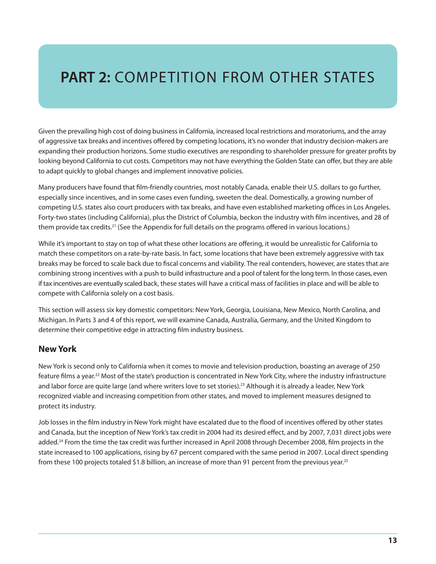# **PART 2:** COMPETITION FROM OTHER STATES

Given the prevailing high cost of doing business in California, increased local restrictions and moratoriums, and the array of aggressive tax breaks and incentives offered by competing locations, it's no wonder that industry decision-makers are expanding their production horizons. Some studio executives are responding to shareholder pressure for greater profits by looking beyond California to cut costs. Competitors may not have everything the Golden State can offer, but they are able to adapt quickly to global changes and implement innovative policies.

Many producers have found that film-friendly countries, most notably Canada, enable their U.S. dollars to go further, especially since incentives, and in some cases even funding, sweeten the deal. Domestically, a growing number of competing U.S. states also court producers with tax breaks, and have even established marketing offices in Los Angeles. Forty-two states (including California), plus the District of Columbia, beckon the industry with film incentives, and 28 of them provide tax credits.<sup>21</sup> (See the Appendix for full details on the programs offered in various locations.)

While it's important to stay on top of what these other locations are offering, it would be unrealistic for California to match these competitors on a rate-by-rate basis. In fact, some locations that have been extremely aggressive with tax breaks may be forced to scale back due to fiscal concerns and viability. The real contenders, however, are states that are combining strong incentives with a push to build infrastructure and a pool of talent for the long term. In those cases, even if tax incentives are eventually scaled back, these states will have a critical mass of facilities in place and will be able to compete with California solely on a cost basis.

This section will assess six key domestic competitors: New York, Georgia, Louisiana, New Mexico, North Carolina, and Michigan. In Parts 3 and 4 of this report, we will examine Canada, Australia, Germany, and the United Kingdom to determine their competitive edge in attracting film industry business.

### **New York**

New York is second only to California when it comes to movie and television production, boasting an average of 250 feature films a year.<sup>22</sup> Most of the state's production is concentrated in New York City, where the industry infrastructure and labor force are quite large (and where writers love to set stories).<sup>23</sup> Although it is already a leader, New York recognized viable and increasing competition from other states, and moved to implement measures designed to protect its industry.

Job losses in the film industry in New York might have escalated due to the flood of incentives offered by other states and Canada, but the inception of New York's tax credit in 2004 had its desired effect, and by 2007, 7,031 direct jobs were added.24 From the time the tax credit was further increased in April 2008 through December 2008, film projects in the state increased to 100 applications, rising by 67 percent compared with the same period in 2007. Local direct spending from these 100 projects totaled \$1.8 billion, an increase of more than 91 percent from the previous year.<sup>25</sup>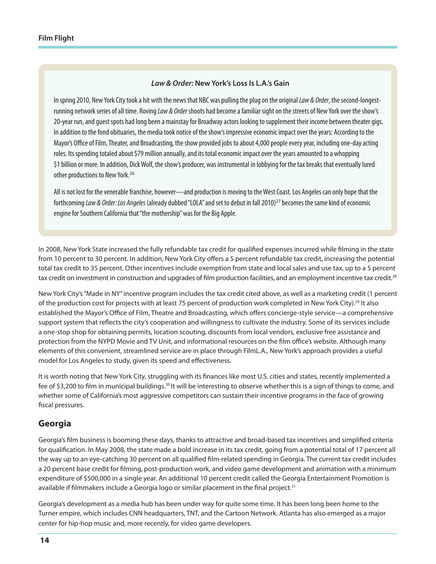#### *Law & Order:* **New York's Loss Is L.A.'s Gain**

In spring 2010, New York City took a hit with the news that NBC was pulling the plug on the original *Law & Order*, the second-longestrunning network series of all time. Roving *Law & Order* shoots had become a familiar sight on the streets of New York over the show's 20-year run, and quest spots had long been a mainstay for Broadway actors looking to supplement their income between theater gigs. In addition to the fond obituaries, the media took notice of the show's impressive economic impact over the years: According to the Mayor's Office of Film, Theater, and Broadcasting, the show provided jobs to about 4,000 people every year, including one-day acting roles. Its spending totaled about \$79 million annually, and its total economic impact over the years amounted to a whopping \$1 billion or more. In addition, Dick Wolf, the show's producer, was instrumental in lobbying for the tax breaks that eventually lured other productions to New York.<sup>26</sup>

All is not lost for the venerable franchise, however—and production is moving to the West Coast. Los Angeles can only hope that the forthcoming *Law & Order: Los Angeles* (already dubbed "LOLA" and set to debut in fall 2010)<sup>27</sup> becomes the same kind of economic engine for Southern California that "the mothership" was for the Big Apple.

In 2008, New York State increased the fully refundable tax credit for qualified expenses incurred while filming in the state from 10 percent to 30 percent. In addition, New York City offers a 5 percent refundable tax credit, increasing the potential total tax credit to 35 percent. Other incentives include exemption from state and local sales and use tax, up to a 5 percent tax credit on investment in construction and upgrades of film production facilities, and an employment incentive tax credit.<sup>28</sup>

New York City's "Made in NY" incentive program includes the tax credit cited above, as well as a marketing credit (1 percent of the production cost for projects with at least 75 percent of production work completed in New York City).29 It also established the Mayor's Office of Film, Theatre and Broadcasting, which offers concierge-style service—a comprehensive support system that reflects the city's cooperation and willingness to cultivate the industry. Some of its services include a one-stop shop for obtaining permits, location scouting, discounts from local vendors, exclusive free assistance and protection from the NYPD Movie and TV Unit, and informational resources on the film office's website. Although many elements of this convenient, streamlined service are in place through FilmL.A., New York's approach provides a useful model for Los Angeles to study, given its speed and effectiveness.

It is worth noting that New York City, struggling with its finances like most U.S. cities and states, recently implemented a fee of \$3,200 to film in municipal buildings.30 It will be interesting to observe whether this is a sign of things to come, and whether some of California's most aggressive competitors can sustain their incentive programs in the face of growing fiscal pressures.

#### **Georgia**

Georgia's film business is booming these days, thanks to attractive and broad-based tax incentives and simplified criteria for qualification. In May 2008, the state made a bold increase in its tax credit, going from a potential total of 17 percent all the way up to an eye-catching 30 percent on all qualified film-related spending in Georgia. The current tax credit includes a 20 percent base credit for filming, post-production work, and video game development and animation with a minimum expenditure of \$500,000 in a single year. An additional 10 percent credit called the Georgia Entertainment Promotion is available if filmmakers include a Georgia logo or similar placement in the final project.<sup>31</sup>

Georgia's development as a media hub has been under way for quite some time. It has been long been home to the Turner empire, which includes CNN headquarters, TNT, and the Cartoon Network. Atlanta has also emerged as a major center for hip-hop music and, more recently, for video game developers.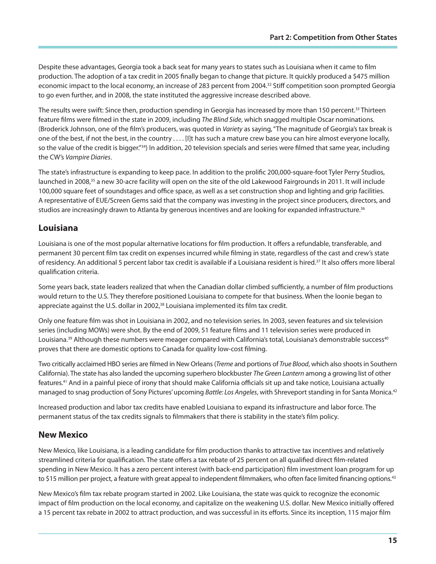Despite these advantages, Georgia took a back seat for many years to states such as Louisiana when it came to film production. The adoption of a tax credit in 2005 finally began to change that picture. It quickly produced a \$475 million economic impact to the local economy, an increase of 283 percent from 2004.32 Stiff competition soon prompted Georgia to go even further, and in 2008, the state instituted the aggressive increase described above.

The results were swift: Since then, production spending in Georgia has increased by more than 150 percent.<sup>33</sup> Thirteen feature films were filmed in the state in 2009, including *The Blind Side*, which snagged multiple Oscar nominations. (Broderick Johnson, one of the film's producers, was quoted in *Variety* as saying, "The magnitude of Georgia's tax break is one of the best, if not the best, in the country . . . . [I]t has such a mature crew base you can hire almost everyone locally, so the value of the credit is bigger."34) In addition, 20 television specials and series were filmed that same year, including the CW's *Vampire Diaries*.

The state's infrastructure is expanding to keep pace. In addition to the prolific 200,000-square-foot Tyler Perry Studios, launched in 2008,<sup>35</sup> a new 30-acre facility will open on the site of the old Lakewood Fairgrounds in 2011. It will include 100,000 square feet of soundstages and office space, as well as a set construction shop and lighting and grip facilities. A representative of EUE/Screen Gems said that the company was investing in the project since producers, directors, and studios are increasingly drawn to Atlanta by generous incentives and are looking for expanded infrastructure.<sup>36</sup>

## **Louisiana**

Louisiana is one of the most popular alternative locations for film production. It offers a refundable, transferable, and permanent 30 percent film tax credit on expenses incurred while filming in state, regardless of the cast and crew's state of residency. An additional 5 percent labor tax credit is available if a Louisiana resident is hired.<sup>37</sup> It also offers more liberal qualification criteria.

Some years back, state leaders realized that when the Canadian dollar climbed sufficiently, a number of film productions would return to the U.S. They therefore positioned Louisiana to compete for that business. When the loonie began to appreciate against the U.S. dollar in 2002,<sup>38</sup> Louisiana implemented its film tax credit.

Only one feature film was shot in Louisiana in 2002, and no television series. In 2003, seven features and six television series (including MOWs) were shot. By the end of 2009, 51 feature films and 11 television series were produced in Louisiana.<sup>39</sup> Although these numbers were meager compared with California's total, Louisiana's demonstrable success<sup>40</sup> proves that there are domestic options to Canada for quality low-cost filming.

Two critically acclaimed HBO series are filmed in New Orleans (*Treme* and portions of *True Blood*, which also shoots in Southern California). The state has also landed the upcoming superhero blockbuster *The Green Lantern* among a growing list of other features.41 And in a painful piece of irony that should make California officials sit up and take notice, Louisiana actually managed to snag production of Sony Pictures' upcoming *Battle: Los Angeles*, with Shreveport standing in for Santa Monica.42

Increased production and labor tax credits have enabled Louisiana to expand its infrastructure and labor force. The permanent status of the tax credits signals to filmmakers that there is stability in the state's film policy.

## **New Mexico**

New Mexico, like Louisiana, is a leading candidate for film production thanks to attractive tax incentives and relatively streamlined criteria for qualification. The state offers a tax rebate of 25 percent on all qualified direct film-related spending in New Mexico. It has a zero percent interest (with back-end participation) film investment loan program for up to \$15 million per project, a feature with great appeal to independent filmmakers, who often face limited financing options.<sup>43</sup>

New Mexico's film tax rebate program started in 2002. Like Louisiana, the state was quick to recognize the economic impact of film production on the local economy, and capitalize on the weakening U.S. dollar. New Mexico initially offered a 15 percent tax rebate in 2002 to attract production, and was successful in its efforts. Since its inception, 115 major film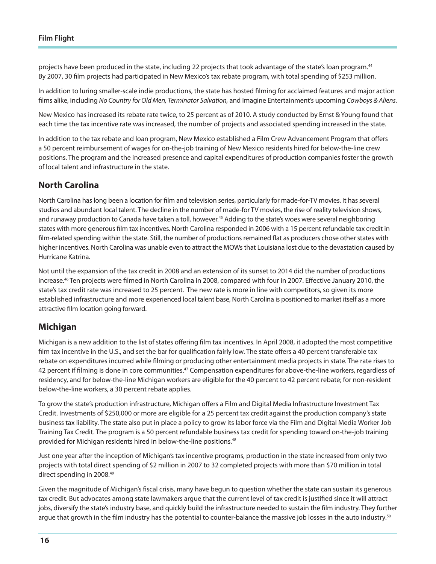projects have been produced in the state, including 22 projects that took advantage of the state's loan program.<sup>44</sup> By 2007, 30 film projects had participated in New Mexico's tax rebate program, with total spending of \$253 million.

In addition to luring smaller-scale indie productions, the state has hosted filming for acclaimed features and major action films alike, including *No Country for Old Men, Terminator Salvation,* and Imagine Entertainment's upcoming *Cowboys & Aliens*.

New Mexico has increased its rebate rate twice, to 25 percent as of 2010. A study conducted by Ernst & Young found that each time the tax incentive rate was increased, the number of projects and associated spending increased in the state.

In addition to the tax rebate and loan program, New Mexico established a Film Crew Advancement Program that offers a 50 percent reimbursement of wages for on-the-job training of New Mexico residents hired for below-the-line crew positions. The program and the increased presence and capital expenditures of production companies foster the growth of local talent and infrastructure in the state.

## **North Carolina**

North Carolina has long been a location for film and television series, particularly for made-for-TV movies. It has several studios and abundant local talent. The decline in the number of made-for TV movies, the rise of reality television shows, and runaway production to Canada have taken a toll, however.<sup>45</sup> Adding to the state's woes were several neighboring states with more generous film tax incentives. North Carolina responded in 2006 with a 15 percent refundable tax credit in film-related spending within the state. Still, the number of productions remained flat as producers chose other states with higher incentives. North Carolina was unable even to attract the MOWs that Louisiana lost due to the devastation caused by Hurricane Katrina.

Not until the expansion of the tax credit in 2008 and an extension of its sunset to 2014 did the number of productions increase.46 Ten projects were filmed in North Carolina in 2008, compared with four in 2007. Effective January 2010, the state's tax credit rate was increased to 25 percent. The new rate is more in line with competitors, so given its more established infrastructure and more experienced local talent base, North Carolina is positioned to market itself as a more attractive film location going forward.

### **Michigan**

Michigan is a new addition to the list of states offering film tax incentives. In April 2008, it adopted the most competitive film tax incentive in the U.S., and set the bar for qualification fairly low. The state offers a 40 percent transferable tax rebate on expenditures incurred while filming or producing other entertainment media projects in state. The rate rises to 42 percent if filming is done in core communities.<sup>47</sup> Compensation expenditures for above-the-line workers, regardless of residency, and for below-the-line Michigan workers are eligible for the 40 percent to 42 percent rebate; for non-resident below-the-line workers, a 30 percent rebate applies.

To grow the state's production infrastructure, Michigan offers a Film and Digital Media Infrastructure Investment Tax Credit. Investments of \$250,000 or more are eligible for a 25 percent tax credit against the production company's state business tax liability. The state also put in place a policy to grow its labor force via the Film and Digital Media Worker Job Training Tax Credit. The program is a 50 percent refundable business tax credit for spending toward on-the-job training provided for Michigan residents hired in below-the-line positions.48

Just one year after the inception of Michigan's tax incentive programs, production in the state increased from only two projects with total direct spending of \$2 million in 2007 to 32 completed projects with more than \$70 million in total direct spending in 2008.49

Given the magnitude of Michigan's fiscal crisis, many have begun to question whether the state can sustain its generous tax credit. But advocates among state lawmakers argue that the current level of tax credit is justified since it will attract jobs, diversify the state's industry base, and quickly build the infrastructure needed to sustain the film industry. They further argue that growth in the film industry has the potential to counter-balance the massive job losses in the auto industry.<sup>50</sup>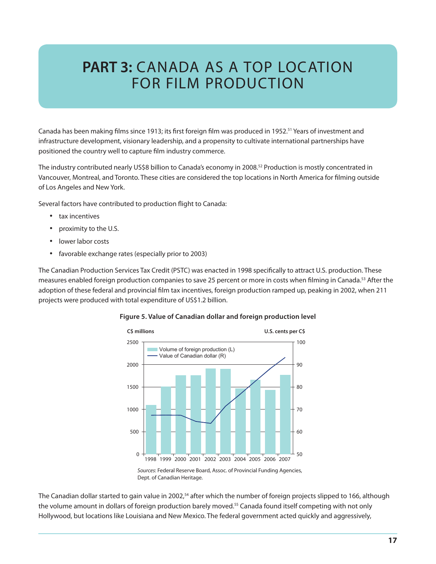## **PART 3: CANADA AS A TOP LOCATION** for Film Production

Canada has been making films since 1913; its first foreign film was produced in 1952.<sup>51</sup> Years of investment and infrastructure development, visionary leadership, and a propensity to cultivate international partnerships have positioned the country well to capture film industry commerce.

The industry contributed nearly US\$8 billion to Canada's economy in 2008.52 Production is mostly concentrated in Vancouver, Montreal, and Toronto. These cities are considered the top locations in North America for filming outside of Los Angeles and New York.

Several factors have contributed to production flight to Canada:

- tax incentives
- proximity to the U.S.
- lower labor costs
- • favorable exchange rates (especially prior to 2003)

The Canadian Production Services Tax Credit (PSTC) was enacted in 1998 specifically to attract U.S. production. These measures enabled foreign production companies to save 25 percent or more in costs when filming in Canada.53 After the adoption of these federal and provincial film tax incentives, foreign production ramped up, peaking in 2002, when 211 projects were produced with total expenditure of US\$1.2 billion.



#### **Figure 5. Value of Canadian dollar and foreign production level**

*Sources*: Federal Reserve Board, Assoc. of Provincial Funding Agencies, Dept. of Canadian Heritage.

The Canadian dollar started to gain value in 2002,<sup>54</sup> after which the number of foreign projects slipped to 166, although the volume amount in dollars of foreign production barely moved.55 Canada found itself competing with not only Hollywood, but locations like Louisiana and New Mexico. The federal government acted quickly and aggressively,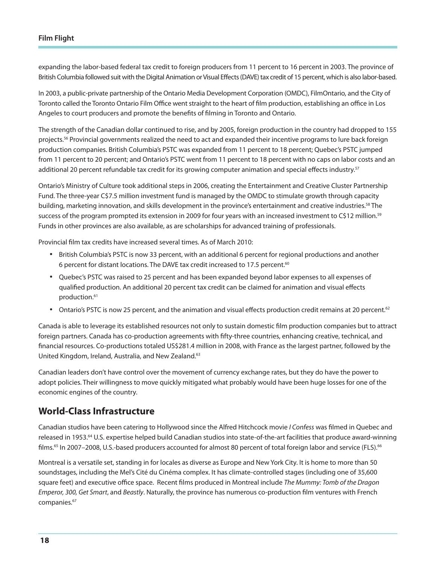expanding the labor-based federal tax credit to foreign producers from 11 percent to 16 percent in 2003. The province of British Columbia followed suit with the Digital Animation or Visual Effects (DAVE) tax credit of 15 percent, which is also labor-based.

In 2003, a public-private partnership of the Ontario Media Development Corporation (OMDC), FilmOntario, and the City of Toronto called the Toronto Ontario Film Office went straight to the heart of film production, establishing an office in Los Angeles to court producers and promote the benefits of filming in Toronto and Ontario.

The strength of the Canadian dollar continued to rise, and by 2005, foreign production in the country had dropped to 155 projects.<sup>56</sup> Provincial governments realized the need to act and expanded their incentive programs to lure back foreign production companies. British Columbia's PSTC was expanded from 11 percent to 18 percent; Quebec's PSTC jumped from 11 percent to 20 percent; and Ontario's PSTC went from 11 percent to 18 percent with no caps on labor costs and an additional 20 percent refundable tax credit for its growing computer animation and special effects industry.<sup>57</sup>

Ontario's Ministry of Culture took additional steps in 2006, creating the Entertainment and Creative Cluster Partnership Fund. The three-year C\$7.5 million investment fund is managed by the OMDC to stimulate growth through capacity building, marketing innovation, and skills development in the province's entertainment and creative industries.58 The success of the program prompted its extension in 2009 for four years with an increased investment to C\$12 million.<sup>59</sup> Funds in other provinces are also available, as are scholarships for advanced training of professionals.

Provincial film tax credits have increased several times. As of March 2010:

- • British Columbia's PSTC is now 33 percent, with an additional 6 percent for regional productions and another 6 percent for distant locations. The DAVE tax credit increased to 17.5 percent.60
- • Quebec's PSTC was raised to 25 percent and has been expanded beyond labor expenses to all expenses of qualified production. An additional 20 percent tax credit can be claimed for animation and visual effects production.<sup>61</sup>
- Ontario's PSTC is now 25 percent, and the animation and visual effects production credit remains at 20 percent.<sup>62</sup>

Canada is able to leverage its established resources not only to sustain domestic film production companies but to attract foreign partners. Canada has co-production agreements with fifty-three countries, enhancing creative, technical, and financial resources. Co-productions totaled US\$281.4 million in 2008, with France as the largest partner, followed by the United Kingdom, Ireland, Australia, and New Zealand.63

Canadian leaders don't have control over the movement of currency exchange rates, but they do have the power to adopt policies. Their willingness to move quickly mitigated what probably would have been huge losses for one of the economic engines of the country.

## **World-Class Infrastructure**

Canadian studios have been catering to Hollywood since the Alfred Hitchcock movie *I Confess* was filmed in Quebec and released in 1953.<sup>64</sup> U.S. expertise helped build Canadian studios into state-of-the-art facilities that produce award-winning films.<sup>65</sup> In 2007–2008, U.S.-based producers accounted for almost 80 percent of total foreign labor and service (FLS).<sup>66</sup>

Montreal is a versatile set, standing in for locales as diverse as Europe and New York City. It is home to more than 50 soundstages, including the Mel's Cité du Cinéma complex. It has climate-controlled stages (including one of 35,600 square feet) and executive office space. Recent films produced in Montreal include *The Mummy: Tomb of the Dragon Emperor, 300, Get Smart*, and *Beastly*. Naturally, the province has numerous co-production film ventures with French companies.<sup>67</sup>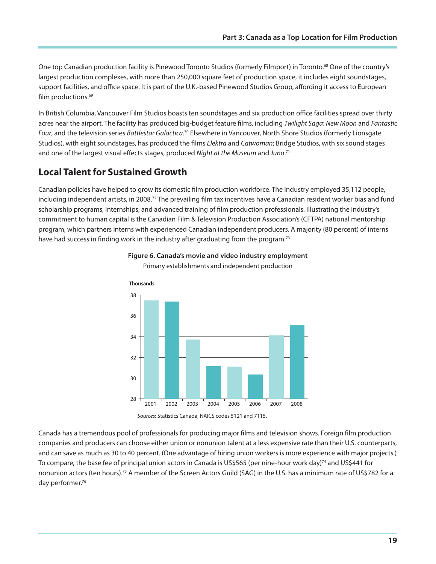One top Canadian production facility is Pinewood Toronto Studios (formerly Filmport) in Toronto.68 One of the country's largest production complexes, with more than 250,000 square feet of production space, it includes eight soundstages, support facilities, and office space. It is part of the U.K.-based Pinewood Studios Group, affording it access to European film productions.<sup>69</sup>

In British Columbia, Vancouver Film Studios boasts ten soundstages and six production office facilities spread over thirty acres near the airport. The facility has produced big-budget feature films, including *Twilight Saga*: *New Moon* and *Fantastic Four*, and the television series *Battlestar Galactica*. 70 Elsewhere in Vancouver, North Shore Studios (formerly Lionsgate Studios), with eight soundstages, has produced the films *Elektra* and *Catwoman*; Bridge Studios, with six sound stages and one of the largest visual effects stages, produced *Night at the Museum* and *Juno*. 71

## **Local Talent for Sustained Growth**

Canadian policies have helped to grow its domestic film production workforce. The industry employed 35,112 people, including independent artists, in 2008.<sup>72</sup> The prevailing film tax incentives have a Canadian resident worker bias and fund scholarship programs, internships, and advanced training of film production professionals. Illustrating the industry's commitment to human capital is the Canadian Film & Television Production Association's (CFTPA) national mentorship program, which partners interns with experienced Canadian independent producers. A majority (80 percent) of interns have had success in finding work in the industry after graduating from the program.<sup>73</sup>





Canada has a tremendous pool of professionals for producing major films and television shows. Foreign film production companies and producers can choose either union or nonunion talent at a less expensive rate than their U.S. counterparts, and can save as much as 30 to 40 percent. (One advantage of hiring union workers is more experience with major projects.) To compare, the base fee of principal union actors in Canada is US\$565 (per nine-hour work day)<sup>74</sup> and US\$441 for nonunion actors (ten hours).<sup>75</sup> A member of the Screen Actors Guild (SAG) in the U.S. has a minimum rate of US\$782 for a day performer.<sup>76</sup>

*Sources*: Statistics Canada, NAICS codes 5121 and 7115.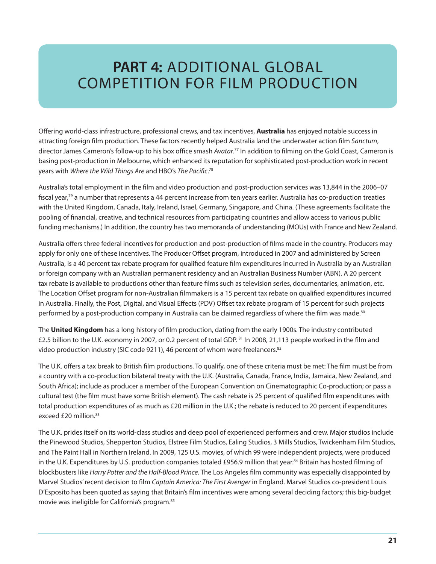## **PART 4:** Additional Global Competition for Film Production

Offering world-class infrastructure, professional crews, and tax incentives, **Australia** has enjoyed notable success in attracting foreign film production. These factors recently helped Australia land the underwater action film *Sanctum*, director James Cameron's follow-up to his box office smash *Avatar*. 77 In addition to filming on the Gold Coast, Cameron is basing post-production in Melbourne, which enhanced its reputation for sophisticated post-production work in recent years with *Where the Wild Things Are* and HBO's *The Pacific*. 78

Australia's total employment in the film and video production and post-production services was 13,844 in the 2006–07 fiscal year,79 a number that represents a 44 percent increase from ten years earlier. Australia has co-production treaties with the United Kingdom, Canada, Italy, Ireland, Israel, Germany, Singapore, and China. (These agreements facilitate the pooling of financial, creative, and technical resources from participating countries and allow access to various public funding mechanisms.) In addition, the country has two memoranda of understanding (MOUs) with France and New Zealand.

Australia offers three federal incentives for production and post-production of films made in the country. Producers may apply for only one of these incentives. The Producer Offset program, introduced in 2007 and administered by Screen Australia, is a 40 percent tax rebate program for qualified feature film expenditures incurred in Australia by an Australian or foreign company with an Australian permanent residency and an Australian Business Number (ABN). A 20 percent tax rebate is available to productions other than feature films such as television series, documentaries, animation, etc. The Location Offset program for non-Australian filmmakers is a 15 percent tax rebate on qualified expenditures incurred in Australia. Finally, the Post, Digital, and Visual Effects (PDV) Offset tax rebate program of 15 percent for such projects performed by a post-production company in Australia can be claimed regardless of where the film was made.<sup>80</sup>

The **United Kingdom** has a long history of film production, dating from the early 1900s. The industry contributed £2.5 billion to the U.K. economy in 2007, or 0.2 percent of total GDP. 81 In 2008, 21,113 people worked in the film and video production industry (SIC code 9211), 46 percent of whom were freelancers.<sup>82</sup>

The U.K. offers a tax break to British film productions. To qualify, one of these criteria must be met: The film must be from a country with a co-production bilateral treaty with the U.K. (Australia, Canada, France, India, Jamaica, New Zealand, and South Africa); include as producer a member of the European Convention on Cinematographic Co-production; or pass a cultural test (the film must have some British element). The cash rebate is 25 percent of qualified film expenditures with total production expenditures of as much as £20 million in the U.K.; the rebate is reduced to 20 percent if expenditures exceed £20 million.<sup>83</sup>

The U.K. prides itself on its world-class studios and deep pool of experienced performers and crew. Major studios include the Pinewood Studios, Shepperton Studios, Elstree Film Studios, Ealing Studios, 3 Mills Studios, Twickenham Film Studios, and The Paint Hall in Northern Ireland. In 2009, 125 U.S. movies, of which 99 were independent projects, were produced in the U.K. Expenditures by U.S. production companies totaled £956.9 million that year.<sup>84</sup> Britain has hosted filming of blockbusters like *Harry Potter and the Half-Blood Prince*. The Los Angeles film community was especially disappointed by Marvel Studios' recent decision to film *Captain America: The First Avenger* in England. Marvel Studios co-president Louis D'Esposito has been quoted as saying that Britain's film incentives were among several deciding factors; this big-budget movie was ineligible for California's program.85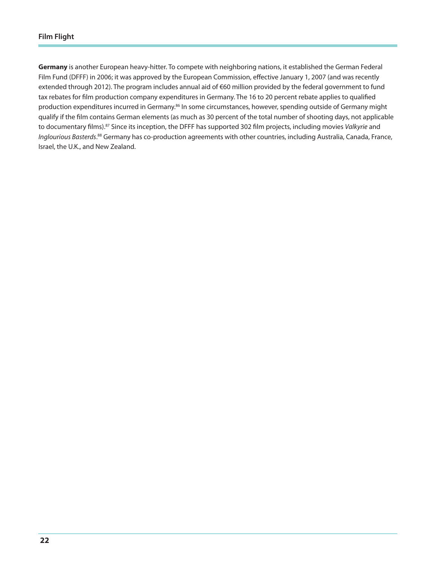**Germany** is another European heavy-hitter. To compete with neighboring nations, it established the German Federal Film Fund (DFFF) in 2006; it was approved by the European Commission, effective January 1, 2007 (and was recently extended through 2012). The program includes annual aid of €60 million provided by the federal government to fund tax rebates for film production company expenditures in Germany. The 16 to 20 percent rebate applies to qualified production expenditures incurred in Germany.<sup>86</sup> In some circumstances, however, spending outside of Germany might qualify if the film contains German elements (as much as 30 percent of the total number of shooting days, not applicable to documentary films).87 Since its inception, the DFFF has supported 302 film projects, including movies *Valkyrie* and *Inglourious Basterds*. 88 Germany has co-production agreements with other countries, including Australia, Canada, France, Israel, the U.K., and New Zealand.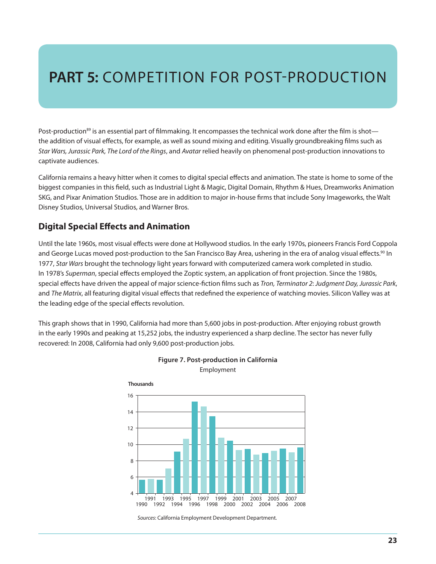# **PART 5: COMPETITION FOR POST-PRODUCTION**

Post-production<sup>89</sup> is an essential part of filmmaking. It encompasses the technical work done after the film is shot the addition of visual effects, for example, as well as sound mixing and editing. Visually groundbreaking films such as *Star Wars, Jurassic Park, The Lord of the Rings*, and *Avatar* relied heavily on phenomenal post-production innovations to captivate audiences.

California remains a heavy hitter when it comes to digital special effects and animation. The state is home to some of the biggest companies in this field, such as Industrial Light & Magic, Digital Domain, Rhythm & Hues, Dreamworks Animation SKG, and Pixar Animation Studios. Those are in addition to major in-house firms that include Sony Imageworks, the Walt Disney Studios, Universal Studios, and Warner Bros.

## **Digital Special Effects and Animation**

Until the late 1960s, most visual effects were done at Hollywood studios. In the early 1970s, pioneers Francis Ford Coppola and George Lucas moved post-production to the San Francisco Bay Area, ushering in the era of analog visual effects.<sup>90</sup> In 1977, *Star Wars* brought the technology light years forward with computerized camera work completed in studio. In 1978's *Superman*, special effects employed the Zoptic system, an application of front projection. Since the 1980s, special effects have driven the appeal of major science-fiction films such as *Tron, Terminator 2*: *Judgment Day, Jurassic Park*, and *The Matrix*, all featuring digital visual effects that redefined the experience of watching movies. Silicon Valley was at the leading edge of the special effects revolution.

This graph shows that in 1990, California had more than 5,600 jobs in post-production. After enjoying robust growth in the early 1990s and peaking at 15,252 jobs, the industry experienced a sharp decline. The sector has never fully recovered: In 2008, California had only 9,600 post-production jobs.





Employment

*Sources*: California Employment Development Department.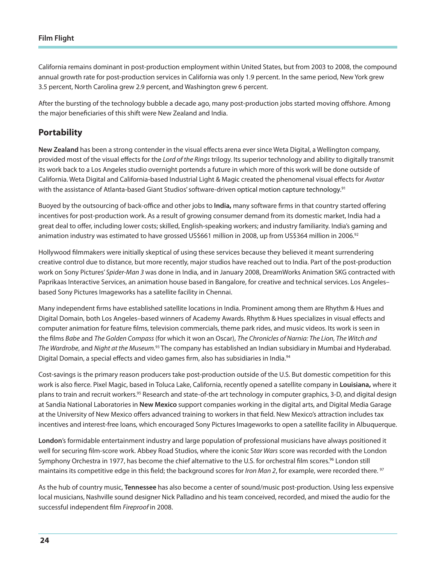California remains dominant in post-production employment within United States, but from 2003 to 2008, the compound annual growth rate for post-production services in California was only 1.9 percent. In the same period, New York grew 3.5 percent, North Carolina grew 2.9 percent, and Washington grew 6 percent.

After the bursting of the technology bubble a decade ago, many post-production jobs started moving offshore. Among the major beneficiaries of this shift were New Zealand and India.

### **Portability**

**New Zealand** has been a strong contender in the visual effects arena ever since Weta Digital, a Wellington company, provided most of the visual effects for the *Lord of the Rings* trilogy. Its superior technology and ability to digitally transmit its work back to a Los Angeles studio overnight portends a future in which more of this work will be done outside of California. Weta Digital and California-based Industrial Light & Magic created the phenomenal visual effects for *Avatar*  with the assistance of Atlanta-based Giant Studios' software-driven optical motion capture technology.<sup>91</sup>

Buoyed by the outsourcing of back-office and other jobs to **India,** many software firms in that country started offering incentives for post-production work. As a result of growing consumer demand from its domestic market, India had a great deal to offer, including lower costs; skilled, English-speaking workers; and industry familiarity. India's gaming and animation industry was estimated to have grossed US\$661 million in 2008, up from US\$364 million in 2006.<sup>92</sup>

Hollywood filmmakers were initially skeptical of using these services because they believed it meant surrendering creative control due to distance, but more recently, major studios have reached out to India. Part of the post-production work on Sony Pictures' *Spider-Man 3* was done in India, and in January 2008, DreamWorks Animation SKG contracted with Paprikaas Interactive Services, an animation house based in Bangalore, for creative and technical services. Los Angeles– based Sony Pictures Imageworks has a satellite facility in Chennai.

Many independent firms have established satellite locations in India. Prominent among them are Rhythm & Hues and Digital Domain, both Los Angeles–based winners of Academy Awards. Rhythm & Hues specializes in visual effects and computer animation for feature films, television commercials, theme park rides, and music videos. Its work is seen in the films *Babe* and *The Golden Compass* (for which it won an Oscar), *The Chronicles of Narnia: The Lion, The Witch and The Wardrobe*, and *Night at the Museum.*93 The company has established an Indian subsidiary in Mumbai and Hyderabad. Digital Domain, a special effects and video games firm, also has subsidiaries in India.<sup>94</sup>

Cost-savings is the primary reason producers take post-production outside of the U.S. But domestic competition for this work is also fierce. Pixel Magic, based in Toluca Lake, California, recently opened a satellite company in **Louisiana,** where it plans to train and recruit workers.95 Research and state-of-the art technology in computer graphics, 3-D, and digital design at Sandia National Laboratories in **New Mexico** support companies working in the digital arts, and Digital Media Garage at the University of New Mexico offers advanced training to workers in that field. New Mexico's attraction includes tax incentives and interest-free loans, which encouraged Sony Pictures Imageworks to open a satellite facility in Albuquerque.

**London**'s formidable entertainment industry and large population of professional musicians have always positioned it well for securing film-score work. Abbey Road Studios, where the iconic S*tar Wars* score was recorded with the London Symphony Orchestra in 1977, has become the chief alternative to the U.S. for orchestral film scores.<sup>96</sup> London still maintains its competitive edge in this field; the background scores for *Iron Man 2*, for example, were recorded there. 97

As the hub of country music, **Tennessee** has also become a center of sound/music post-production. Using less expensive local musicians, Nashville sound designer Nick Palladino and his team conceived, recorded, and mixed the audio for the successful independent film *Fireproof* in 2008.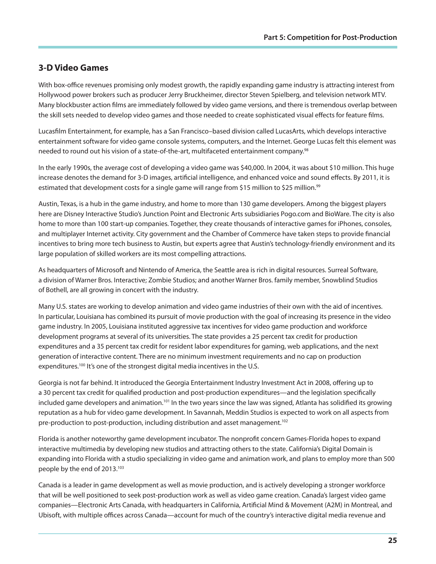## **3-D Video Games**

With box-office revenues promising only modest growth, the rapidly expanding game industry is attracting interest from Hollywood power brokers such as producer Jerry Bruckheimer, director Steven Spielberg, and television network MTV. Many blockbuster action films are immediately followed by video game versions, and there is tremendous overlap between the skill sets needed to develop video games and those needed to create sophisticated visual effects for feature films.

Lucasfilm Entertainment, for example, has a San Francisco–based division called LucasArts, which develops interactive entertainment software for video game console systems, computers, and the Internet. George Lucas felt this element was needed to round out his vision of a state-of-the-art, multifaceted entertainment company.98

In the early 1990s, the average cost of developing a video game was \$40,000. In 2004, it was about \$10 million. This huge increase denotes the demand for 3-D images, artificial intelligence, and enhanced voice and sound effects. By 2011, it is estimated that development costs for a single game will range from \$15 million to \$25 million.<sup>99</sup>

Austin, Texas, is a hub in the game industry, and home to more than 130 game developers. Among the biggest players here are Disney Interactive Studio's Junction Point and Electronic Arts subsidiaries Pogo.com and BioWare. The city is also home to more than 100 start-up companies. Together, they create thousands of interactive games for iPhones, consoles, and multiplayer Internet activity. City government and the Chamber of Commerce have taken steps to provide financial incentives to bring more tech business to Austin, but experts agree that Austin's technology-friendly environment and its large population of skilled workers are its most compelling attractions.

As headquarters of Microsoft and Nintendo of America, the Seattle area is rich in digital resources. Surreal Software, a division of Warner Bros. Interactive; Zombie Studios; and another Warner Bros. family member, Snowblind Studios of Bothell, are all growing in concert with the industry.

Many U.S. states are working to develop animation and video game industries of their own with the aid of incentives. In particular, Louisiana has combined its pursuit of movie production with the goal of increasing its presence in the video game industry. In 2005, Louisiana instituted aggressive tax incentives for video game production and workforce development programs at several of its universities. The state provides a 25 percent tax credit for production expenditures and a 35 percent tax credit for resident labor expenditures for gaming, web applications, and the next generation of interactive content. There are no minimum investment requirements and no cap on production expenditures.<sup>100</sup> It's one of the strongest digital media incentives in the U.S.

Georgia is not far behind. It introduced the Georgia Entertainment Industry Investment Act in 2008, offering up to a 30 percent tax credit for qualified production and post-production expenditures—and the legislation specifically included game developers and animation.101 In the two years since the law was signed, Atlanta has solidified its growing reputation as a hub for video game development. In Savannah, Meddin Studios is expected to work on all aspects from pre-production to post-production, including distribution and asset management.<sup>102</sup>

Florida is another noteworthy game development incubator. The nonprofit concern Games-Florida hopes to expand interactive multimedia by developing new studios and attracting others to the state. California's Digital Domain is expanding into Florida with a studio specializing in video game and animation work, and plans to employ more than 500 people by the end of 2013.103

Canada is a leader in game development as well as movie production, and is actively developing a stronger workforce that will be well positioned to seek post-production work as well as video game creation. Canada's largest video game companies—Electronic Arts Canada, with headquarters in California, Artificial Mind & Movement (A2M) in Montreal, and Ubisoft, with multiple offices across Canada—account for much of the country's interactive digital media revenue and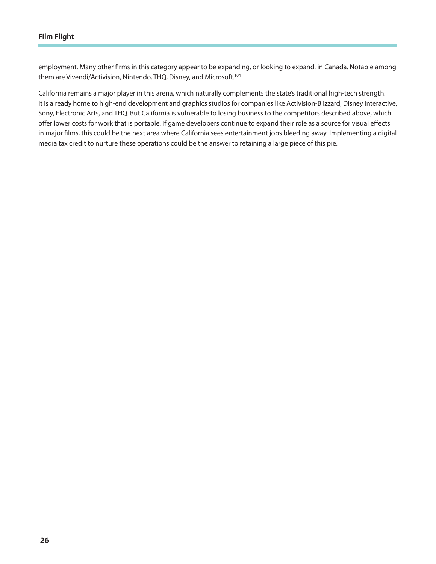employment. Many other firms in this category appear to be expanding, or looking to expand, in Canada. Notable among them are Vivendi/Activision, Nintendo, THQ, Disney, and Microsoft.<sup>104</sup>

California remains a major player in this arena, which naturally complements the state's traditional high-tech strength. It is already home to high-end development and graphics studios for companies like Activision-Blizzard, Disney Interactive, Sony, Electronic Arts, and THQ. But California is vulnerable to losing business to the competitors described above, which offer lower costs for work that is portable. If game developers continue to expand their role as a source for visual effects in major films, this could be the next area where California sees entertainment jobs bleeding away. Implementing a digital media tax credit to nurture these operations could be the answer to retaining a large piece of this pie.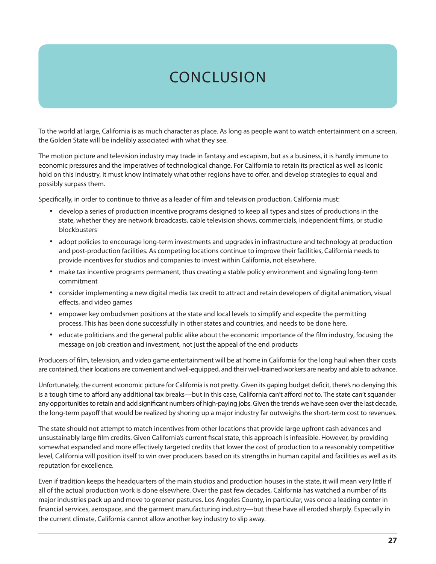# **CONCLUSION**

To the world at large, California is as much character as place. As long as people want to watch entertainment on a screen, the Golden State will be indelibly associated with what they see.

The motion picture and television industry may trade in fantasy and escapism, but as a business, it is hardly immune to economic pressures and the imperatives of technological change. For California to retain its practical as well as iconic hold on this industry, it must know intimately what other regions have to offer, and develop strategies to equal and possibly surpass them.

Specifically, in order to continue to thrive as a leader of film and television production, California must:

- • develop a series of production incentive programs designed to keep all types and sizes of productions in the state, whether they are network broadcasts, cable television shows, commercials, independent films, or studio blockbusters
- • adopt policies to encourage long-term investments and upgrades in infrastructure and technology at production and post-production facilities. As competing locations continue to improve their facilities, California needs to provide incentives for studios and companies to invest within California, not elsewhere.
- make tax incentive programs permanent, thus creating a stable policy environment and signaling long-term commitment
- • consider implementing a new digital media tax credit to attract and retain developers of digital animation, visual effects, and video games
- • empower key ombudsmen positions at the state and local levels to simplify and expedite the permitting process. This has been done successfully in other states and countries, and needs to be done here.
- • educate politicians and the general public alike about the economic importance of the film industry, focusing the message on job creation and investment, not just the appeal of the end products

Producers of film, television, and video game entertainment will be at home in California for the long haul when their costs are contained, their locations are convenient and well-equipped, and their well-trained workers are nearby and able to advance.

Unfortunately, the current economic picture for California is not pretty. Given its gaping budget deficit, there's no denying this is a tough time to afford any additional tax breaks—but in this case, California can't afford *not* to. The state can't squander any opportunities to retain and add significant numbers of high-paying jobs. Given the trends we have seen over the last decade, the long-term payoff that would be realized by shoring up a major industry far outweighs the short-term cost to revenues.

The state should not attempt to match incentives from other locations that provide large upfront cash advances and unsustainably large film credits. Given California's current fiscal state, this approach is infeasible. However, by providing somewhat expanded and more effectively targeted credits that lower the cost of production to a reasonably competitive level, California will position itself to win over producers based on its strengths in human capital and facilities as well as its reputation for excellence.

Even if tradition keeps the headquarters of the main studios and production houses in the state, it will mean very little if all of the actual production work is done elsewhere. Over the past few decades, California has watched a number of its major industries pack up and move to greener pastures. Los Angeles County, in particular, was once a leading center in financial services, aerospace, and the garment manufacturing industry—but these have all eroded sharply. Especially in the current climate, California cannot allow another key industry to slip away.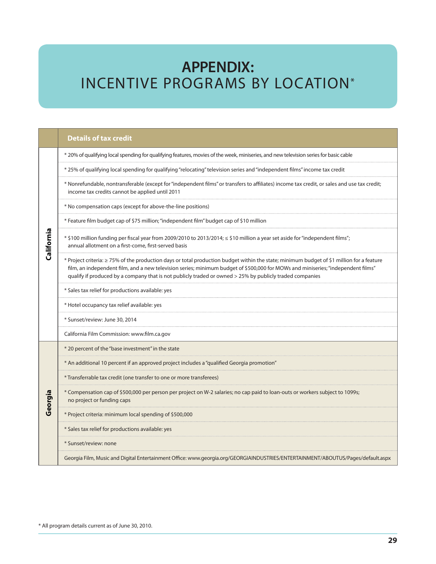## **APPENDIX:** Incentive Programs by Location\*

|            | <b>Details of tax credit</b>                                                                                                                                                                                                                                                                                                                                                              |
|------------|-------------------------------------------------------------------------------------------------------------------------------------------------------------------------------------------------------------------------------------------------------------------------------------------------------------------------------------------------------------------------------------------|
|            | * 20% of qualifying local spending for qualifying features, movies of the week, miniseries, and new television series for basic cable                                                                                                                                                                                                                                                     |
|            | * 25% of qualifying local spending for qualifying "relocating" television series and "independent films" income tax credit                                                                                                                                                                                                                                                                |
|            | * Nonrefundable, nontransferable (except for "independent films" or transfers to affiliates) income tax credit, or sales and use tax credit;<br>income tax credits cannot be applied until 2011                                                                                                                                                                                           |
|            | * No compensation caps (except for above-the-line positions)                                                                                                                                                                                                                                                                                                                              |
| California | * Feature film budget cap of \$75 million; "independent film" budget cap of \$10 million                                                                                                                                                                                                                                                                                                  |
|            | * \$100 million funding per fiscal year from 2009/2010 to 2013/2014; < \$10 million a year set aside for "independent films";<br>annual allotment on a first-come, first-served basis                                                                                                                                                                                                     |
|            | * Project criteria: ≥ 75% of the production days or total production budget within the state; minimum budget of \$1 million for a feature<br>film, an independent film, and a new television series; minimum budget of \$500,000 for MOWs and miniseries; "independent films"<br>qualify if produced by a company that is not publicly traded or owned > 25% by publicly traded companies |
|            | * Sales tax relief for productions available: yes                                                                                                                                                                                                                                                                                                                                         |
|            | * Hotel occupancy tax relief available: yes                                                                                                                                                                                                                                                                                                                                               |
|            | * Sunset/review: June 30, 2014                                                                                                                                                                                                                                                                                                                                                            |
|            | California Film Commission: www.film.ca.gov                                                                                                                                                                                                                                                                                                                                               |
|            | * 20 percent of the "base investment" in the state                                                                                                                                                                                                                                                                                                                                        |
|            | * An additional 10 percent if an approved project includes a "qualified Georgia promotion"                                                                                                                                                                                                                                                                                                |
|            | * Transferrable tax credit (one transfer to one or more transferees)                                                                                                                                                                                                                                                                                                                      |
| Georgia    | * Compensation cap of \$500,000 per person per project on W-2 salaries; no cap paid to loan-outs or workers subject to 1099s;<br>no project or funding caps                                                                                                                                                                                                                               |
|            | * Project criteria: minimum local spending of \$500,000                                                                                                                                                                                                                                                                                                                                   |
|            | * Sales tax relief for productions available: yes                                                                                                                                                                                                                                                                                                                                         |
|            | * Sunset/review: none                                                                                                                                                                                                                                                                                                                                                                     |
|            | Georgia Film, Music and Digital Entertainment Office: www.georgia.org/GEORGIAINDUSTRIES/ENTERTAINMENT/ABOUTUS/Pages/default.aspx                                                                                                                                                                                                                                                          |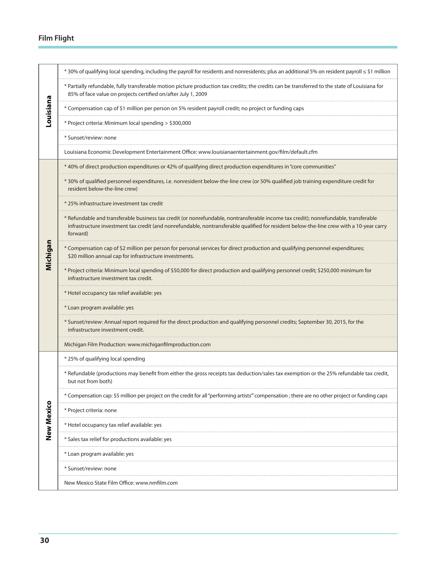| Louisiana  | * 30% of qualifying local spending, including the payroll for residents and nonresidents; plus an additional 5% on resident payroll ≤ \$1 million                                                                                                                                            |
|------------|----------------------------------------------------------------------------------------------------------------------------------------------------------------------------------------------------------------------------------------------------------------------------------------------|
|            | * Partially refundable, fully transferable motion picture production tax credits; the credits can be transferred to the state of Louisiana for<br>85% of face value on projects certified on/after July 1, 2009                                                                              |
|            | * Compensation cap of \$1 million per person on 5% resident payroll credit; no project or funding caps                                                                                                                                                                                       |
|            | * Project criteria: Minimum local spending > \$300,000                                                                                                                                                                                                                                       |
|            | * Sunset/review: none                                                                                                                                                                                                                                                                        |
|            | Louisiana Economic Development Entertainment Office: www.louisianaentertainment.gov/film/default.cfm                                                                                                                                                                                         |
|            | * 40% of direct production expenditures or 42% of qualifying direct production expenditures in "core communities"                                                                                                                                                                            |
|            | * 30% of qualified personnel expenditures, i.e. nonresident below-the-line crew (or 50% qualified job training expenditure credit for<br>resident below-the-line crew)                                                                                                                       |
|            | * 25% infrastructure investment tax credit                                                                                                                                                                                                                                                   |
|            | * Refundable and transferable business tax credit (or nonrefundable, nontransferable income tax credit); nonrefundable, transferable<br>infrastructure investment tax credit (and nonrefundable, nontransferable qualified for resident below-the-line crew with a 10-year carry<br>forward) |
| Michigan   | * Compensation cap of \$2 million per person for personal services for direct production and qualifying personnel expenditures;<br>\$20 million annual cap for infrastructure investments.                                                                                                   |
|            | * Project criteria: Minimum local spending of \$50,000 for direct production and qualifying personnel credit; \$250,000 minimum for<br>infrastructure investment tax credit.                                                                                                                 |
|            | * Hotel occupancy tax relief available: yes                                                                                                                                                                                                                                                  |
|            | * Loan program available: yes                                                                                                                                                                                                                                                                |
|            | * Sunset/review: Annual report required for the direct production and qualifying personnel credits; September 30, 2015, for the<br>infrastructure investment credit.                                                                                                                         |
|            | Michigan Film Production: www.michiganfilmproduction.com                                                                                                                                                                                                                                     |
|            | * 25% of qualifying local spending                                                                                                                                                                                                                                                           |
|            | * Refundable (productions may benefit from either the gross receipts tax deduction/sales tax exemption or the 25% refundable tax credit,<br>but not from both)                                                                                                                               |
|            | * Compensation cap: \$5 million per project on the credit for all "performing artists" compensation; there are no other project or funding caps                                                                                                                                              |
|            | * Project criteria: none                                                                                                                                                                                                                                                                     |
| New Mexico | * Hotel occupancy tax relief available: yes                                                                                                                                                                                                                                                  |
|            | * Sales tax relief for productions available: yes                                                                                                                                                                                                                                            |
|            | * Loan program available: yes                                                                                                                                                                                                                                                                |
|            | * Sunset/review: none                                                                                                                                                                                                                                                                        |
|            | New Mexico State Film Office: www.nmfilm.com                                                                                                                                                                                                                                                 |
|            |                                                                                                                                                                                                                                                                                              |
|            |                                                                                                                                                                                                                                                                                              |
|            |                                                                                                                                                                                                                                                                                              |
| 30         |                                                                                                                                                                                                                                                                                              |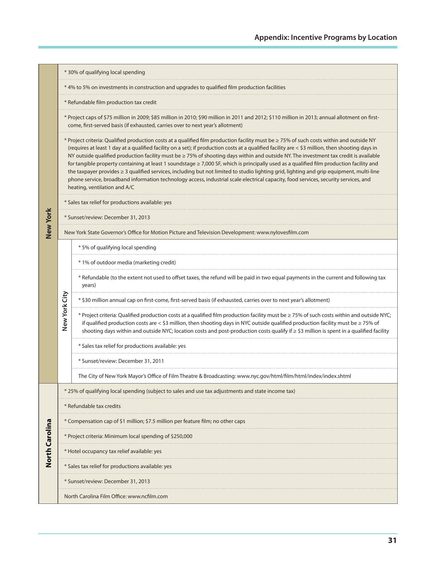|                 |               | * 30% of qualifying local spending                                                                                                                                                                                                                                                                                                                                                                                                                                                                                                                                                                                                                                                                                                                                                                                                                                                                        |
|-----------------|---------------|-----------------------------------------------------------------------------------------------------------------------------------------------------------------------------------------------------------------------------------------------------------------------------------------------------------------------------------------------------------------------------------------------------------------------------------------------------------------------------------------------------------------------------------------------------------------------------------------------------------------------------------------------------------------------------------------------------------------------------------------------------------------------------------------------------------------------------------------------------------------------------------------------------------|
|                 |               | *4% to 5% on investments in construction and upgrades to qualified film production facilities                                                                                                                                                                                                                                                                                                                                                                                                                                                                                                                                                                                                                                                                                                                                                                                                             |
|                 |               | * Refundable film production tax credit                                                                                                                                                                                                                                                                                                                                                                                                                                                                                                                                                                                                                                                                                                                                                                                                                                                                   |
|                 |               | * Project caps of \$75 million in 2009; \$85 million in 2010; \$90 million in 2011 and 2012; \$110 million in 2013; annual allotment on first-<br>come, first-served basis (if exhausted, carries over to next year's allotment)                                                                                                                                                                                                                                                                                                                                                                                                                                                                                                                                                                                                                                                                          |
|                 |               | * Project criteria: Qualified production costs at a qualified film production facility must be $\geq$ 75% of such costs within and outside NY<br>(requires at least 1 day at a qualified facility on a set); if production costs at a qualified facility are < \$3 million, then shooting days in<br>NY outside qualified production facility must be ≥ 75% of shooting days within and outside NY. The investment tax credit is available<br>for tangible property containing at least 1 soundstage ≥ 7,000 SF, which is principally used as a qualified film production facility and<br>the taxpayer provides ≥ 3 qualified services, including but not limited to studio lighting grid, lighting and grip equipment, multi-line<br>phone service, broadband information technology access, industrial scale electrical capacity, food services, security services, and<br>heating, ventilation and A/C |
|                 |               | * Sales tax relief for productions available: yes                                                                                                                                                                                                                                                                                                                                                                                                                                                                                                                                                                                                                                                                                                                                                                                                                                                         |
|                 |               | * Sunset/review: December 31, 2013                                                                                                                                                                                                                                                                                                                                                                                                                                                                                                                                                                                                                                                                                                                                                                                                                                                                        |
| <b>New York</b> |               | New York State Governor's Office for Motion Picture and Television Development: www.nylovesfilm.com                                                                                                                                                                                                                                                                                                                                                                                                                                                                                                                                                                                                                                                                                                                                                                                                       |
|                 |               | *5% of qualifying local spending                                                                                                                                                                                                                                                                                                                                                                                                                                                                                                                                                                                                                                                                                                                                                                                                                                                                          |
|                 |               | * 1% of outdoor media (marketing credit)                                                                                                                                                                                                                                                                                                                                                                                                                                                                                                                                                                                                                                                                                                                                                                                                                                                                  |
|                 | New York City | * Refundable (to the extent not used to offset taxes, the refund will be paid in two equal payments in the current and following tax<br>years)                                                                                                                                                                                                                                                                                                                                                                                                                                                                                                                                                                                                                                                                                                                                                            |
|                 |               | \$30 million annual cap on first-come, first-served basis (if exhausted, carries over to next year's allotment)                                                                                                                                                                                                                                                                                                                                                                                                                                                                                                                                                                                                                                                                                                                                                                                           |
|                 |               | * Project criteria: Qualified production costs at a qualified film production facility must be ≥ 75% of such costs within and outside NYC;<br>if qualified production costs are $<$ \$3 million, then shooting days in NYC outside qualified production facility must be $\geq$ 75% of<br>shooting days within and outside NYC; location costs and post-production costs qualify if ≥ \$3 million is spent in a qualified facility                                                                                                                                                                                                                                                                                                                                                                                                                                                                        |
|                 |               | * Sales tax relief for productions available: yes                                                                                                                                                                                                                                                                                                                                                                                                                                                                                                                                                                                                                                                                                                                                                                                                                                                         |
|                 |               | * Sunset/review: December 31, 2011                                                                                                                                                                                                                                                                                                                                                                                                                                                                                                                                                                                                                                                                                                                                                                                                                                                                        |
|                 |               | The City of New York Mayor's Office of Film Theatre & Broadcasting: www.nyc.gov/html/film/html/index/index.shtml                                                                                                                                                                                                                                                                                                                                                                                                                                                                                                                                                                                                                                                                                                                                                                                          |
|                 |               | * 25% of qualifying local spending (subject to sales and use tax adjustments and state income tax)                                                                                                                                                                                                                                                                                                                                                                                                                                                                                                                                                                                                                                                                                                                                                                                                        |
| North Carolina  |               | * Refundable tax credits                                                                                                                                                                                                                                                                                                                                                                                                                                                                                                                                                                                                                                                                                                                                                                                                                                                                                  |
|                 |               | * Compensation cap of \$1 million; \$7.5 million per feature film; no other caps                                                                                                                                                                                                                                                                                                                                                                                                                                                                                                                                                                                                                                                                                                                                                                                                                          |
|                 |               | * Project criteria: Minimum local spending of \$250,000                                                                                                                                                                                                                                                                                                                                                                                                                                                                                                                                                                                                                                                                                                                                                                                                                                                   |
|                 |               | * Hotel occupancy tax relief available: yes                                                                                                                                                                                                                                                                                                                                                                                                                                                                                                                                                                                                                                                                                                                                                                                                                                                               |
|                 |               | * Sales tax relief for productions available: yes                                                                                                                                                                                                                                                                                                                                                                                                                                                                                                                                                                                                                                                                                                                                                                                                                                                         |
|                 |               | * Sunset/review: December 31, 2013                                                                                                                                                                                                                                                                                                                                                                                                                                                                                                                                                                                                                                                                                                                                                                                                                                                                        |
|                 |               | North Carolina Film Office: www.ncfilm.com                                                                                                                                                                                                                                                                                                                                                                                                                                                                                                                                                                                                                                                                                                                                                                                                                                                                |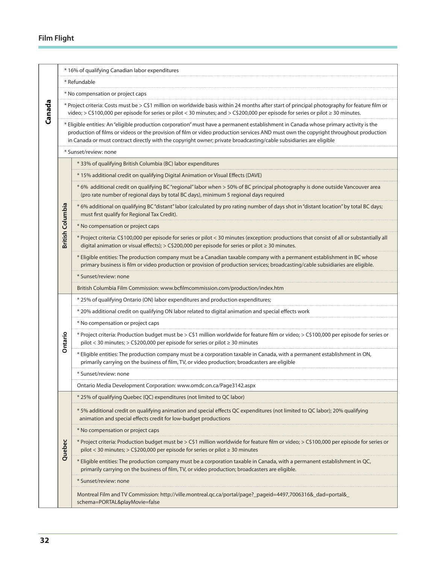|        |                         | * 16% of qualifying Canadian labor expenditures                                                                                                                                                                                                                                                                                                                                                     |
|--------|-------------------------|-----------------------------------------------------------------------------------------------------------------------------------------------------------------------------------------------------------------------------------------------------------------------------------------------------------------------------------------------------------------------------------------------------|
|        |                         | * Refundable                                                                                                                                                                                                                                                                                                                                                                                        |
|        |                         | * No compensation or project caps                                                                                                                                                                                                                                                                                                                                                                   |
| Canada |                         | * Project criteria: Costs must be > C\$1 million on worldwide basis within 24 months after start of principal photography for feature film or<br>video; > C\$100,000 per episode for series or pilot < 30 minutes; and > C\$200,000 per episode for series or pilot ≥ 30 minutes.                                                                                                                   |
|        |                         | * Eligible entities: An "eligible production corporation" must have a permanent establishment in Canada whose primary activity is the<br>production of films or videos or the provision of film or video production services AND must own the copyright throughout production<br>in Canada or must contract directly with the copyright owner; private broadcasting/cable subsidiaries are eligible |
|        |                         | * Sunset/review: none                                                                                                                                                                                                                                                                                                                                                                               |
|        |                         | * 33% of qualifying British Columbia (BC) labor expenditures                                                                                                                                                                                                                                                                                                                                        |
|        |                         | * 15% additional credit on qualifying Digital Animation or Visual Effects (DAVE)                                                                                                                                                                                                                                                                                                                    |
|        |                         | * 6% additional credit on qualifying BC "regional" labor when > 50% of BC principal photography is done outside Vancouver area<br>(pro rate number of regional days by total BC days), minimum 5 regional days required                                                                                                                                                                             |
|        |                         | *6% additional on qualifying BC "distant" labor (calculated by pro rating number of days shot in "distant location" by total BC days;<br>must first qualify for Regional Tax Credit).                                                                                                                                                                                                               |
|        |                         | * No compensation or project caps                                                                                                                                                                                                                                                                                                                                                                   |
|        | <b>British Columbia</b> | * Project criteria: C\$100,000 per episode for series or pilot < 30 minutes (exception: productions that consist of all or substantially all<br>digital animation or visual effects); > C\$200,000 per episode for series or pilot $\geq$ 30 minutes.                                                                                                                                               |
|        |                         | * Eligible entities: The production company must be a Canadian taxable company with a permanent establishment in BC whose<br>primary business is film or video production or provision of production services; broadcasting/cable subsidiaries are eligible.                                                                                                                                        |
|        |                         | * Sunset/review: none                                                                                                                                                                                                                                                                                                                                                                               |
|        |                         | British Columbia Film Commission: www.bcfilmcommission.com/production/index.htm                                                                                                                                                                                                                                                                                                                     |
|        |                         | * 25% of qualifying Ontario (ON) labor expenditures and production expenditures;                                                                                                                                                                                                                                                                                                                    |
|        |                         | * 20% additional credit on qualifying ON labor related to digital animation and special effects work                                                                                                                                                                                                                                                                                                |
|        |                         | * No compensation or project caps                                                                                                                                                                                                                                                                                                                                                                   |
|        | Ontario                 | * Project criteria: Production budget must be > C\$1 million worldwide for feature film or video; > C\$100,000 per episode for series or<br>pilot < 30 minutes; > C\$200,000 per episode for series or pilot $\geq$ 30 minutes                                                                                                                                                                      |
|        |                         | * Eligible entities: The production company must be a corporation taxable in Canada, with a permanent establishment in ON,<br>primarily carrying on the business of film, TV, or video production; broadcasters are eligible                                                                                                                                                                        |
|        |                         | * Sunset/review: none                                                                                                                                                                                                                                                                                                                                                                               |
|        |                         | Ontario Media Development Corporation: www.omdc.on.ca/Page3142.aspx                                                                                                                                                                                                                                                                                                                                 |
|        |                         | * 25% of qualifying Quebec (QC) expenditures (not limited to QC labor)                                                                                                                                                                                                                                                                                                                              |
|        | Quebec                  | *5% additional credit on qualifying animation and special effects QC expenditures (not limited to QC labor); 20% qualifying<br>animation and special effects credit for low-budget productions                                                                                                                                                                                                      |
|        |                         | * No compensation or project caps                                                                                                                                                                                                                                                                                                                                                                   |
|        |                         | * Project criteria: Production budget must be > C\$1 million worldwide for feature film or video; > C\$100,000 per episode for series or<br>pilot < 30 minutes; > C\$200,000 per episode for series or pilot $\geq$ 30 minutes                                                                                                                                                                      |
|        |                         | * Eligible entities: The production company must be a corporation taxable in Canada, with a permanent establishment in QC,<br>primarily carrying on the business of film, TV, or video production; broadcasters are eligible.                                                                                                                                                                       |
|        |                         | * Sunset/review: none                                                                                                                                                                                                                                                                                                                                                                               |
|        |                         | Montreal Film and TV Commission: http://ville.montreal.qc.ca/portal/page?_pageid=4497,7006316&_dad=portal&_<br>schema=PORTAL&playMovie=false                                                                                                                                                                                                                                                        |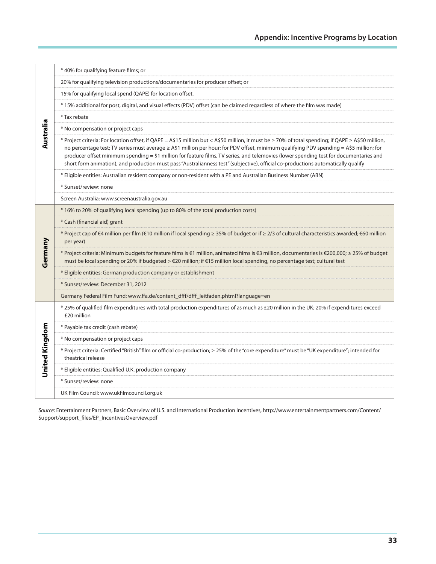|                | * 40% for qualifying feature films; or                                                                                                                                                                                                                                                                                                                                                                                                                                                                                                                                       |
|----------------|------------------------------------------------------------------------------------------------------------------------------------------------------------------------------------------------------------------------------------------------------------------------------------------------------------------------------------------------------------------------------------------------------------------------------------------------------------------------------------------------------------------------------------------------------------------------------|
|                | 20% for qualifying television productions/documentaries for producer offset; or                                                                                                                                                                                                                                                                                                                                                                                                                                                                                              |
|                | 15% for qualifying local spend (QAPE) for location offset.                                                                                                                                                                                                                                                                                                                                                                                                                                                                                                                   |
|                | * 15% additional for post, digital, and visual effects (PDV) offset (can be claimed regardless of where the film was made)                                                                                                                                                                                                                                                                                                                                                                                                                                                   |
|                | * Tax rebate                                                                                                                                                                                                                                                                                                                                                                                                                                                                                                                                                                 |
|                | * No compensation or project caps                                                                                                                                                                                                                                                                                                                                                                                                                                                                                                                                            |
| Australia      | * Project criteria: For location offset, if QAPE = A\$15 million but < A\$50 million, it must be ≥ 70% of total spending; if QAPE ≥ A\$50 million,<br>no percentage test; TV series must average ≥ A\$1 million per hour; for PDV offset, minimum qualifying PDV spending = A\$5 million; for<br>producer offset minimum spending = \$1 million for feature films, TV series, and telemovies (lower spending test for documentaries and<br>short form animation), and production must pass "Australianness test" (subjective), official co-productions automatically qualify |
|                | * Eligible entities: Australian resident company or non-resident with a PE and Australian Business Number (ABN)                                                                                                                                                                                                                                                                                                                                                                                                                                                              |
|                | * Sunset/review: none                                                                                                                                                                                                                                                                                                                                                                                                                                                                                                                                                        |
|                | Screen Australia: www.screenaustralia.gov.au                                                                                                                                                                                                                                                                                                                                                                                                                                                                                                                                 |
|                | * 16% to 20% of qualifying local spending (up to 80% of the total production costs)                                                                                                                                                                                                                                                                                                                                                                                                                                                                                          |
|                | * Cash (financial aid) grant                                                                                                                                                                                                                                                                                                                                                                                                                                                                                                                                                 |
|                | * Project cap of €4 million per film (€10 million if local spending ≥ 35% of budget or if ≥ 2/3 of cultural characteristics awarded; €60 million<br>per year)                                                                                                                                                                                                                                                                                                                                                                                                                |
| Germany        | * Project criteria: Minimum budgets for feature films is €1 million, animated films is €3 million, documentaries is €200,000; ≥ 25% of budget<br>must be local spending or 20% if budgeted > €20 million; if €15 million local spending, no percentage test; cultural test                                                                                                                                                                                                                                                                                                   |
|                | * Eligible entities: German production company or establishment                                                                                                                                                                                                                                                                                                                                                                                                                                                                                                              |
|                | * Sunset/review: December 31, 2012                                                                                                                                                                                                                                                                                                                                                                                                                                                                                                                                           |
|                | Germany Federal Film Fund: www.ffa.de/content_dfff/dfff_leitfaden.phtml?language=en                                                                                                                                                                                                                                                                                                                                                                                                                                                                                          |
|                | * 25% of qualified film expenditures with total production expenditures of as much as £20 million in the UK; 20% if expenditures exceed<br>£20 million                                                                                                                                                                                                                                                                                                                                                                                                                       |
|                | * Payable tax credit (cash rebate)                                                                                                                                                                                                                                                                                                                                                                                                                                                                                                                                           |
| United Kingdom | * No compensation or project caps                                                                                                                                                                                                                                                                                                                                                                                                                                                                                                                                            |
|                | * Project criteria: Certified "British" film or official co-production; ≥ 25% of the "core expenditure" must be "UK expenditure"; intended for<br>theatrical release                                                                                                                                                                                                                                                                                                                                                                                                         |
|                | * Eligible entities: Qualified U.K. production company                                                                                                                                                                                                                                                                                                                                                                                                                                                                                                                       |
|                | * Sunset/review: none                                                                                                                                                                                                                                                                                                                                                                                                                                                                                                                                                        |
|                | UK Film Council: www.ukfilmcouncil.org.uk                                                                                                                                                                                                                                                                                                                                                                                                                                                                                                                                    |

*Source*: Entertainment Partners, Basic Overview of U.S. and International Production Incentives, http://www.entertainmentpartners.com/Content/ Support/support\_files/EP\_IncentivesOverview.pdf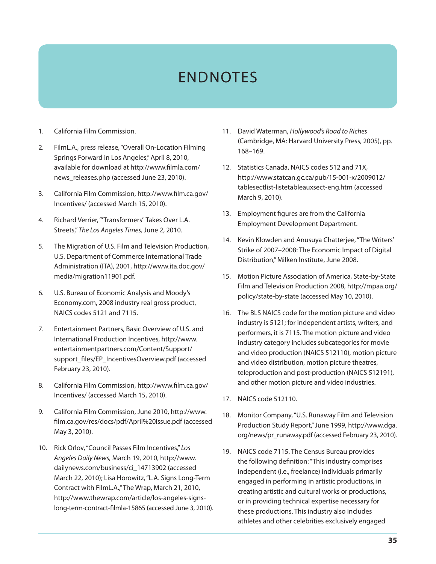# ENDNOTES

- 1. California Film Commission.
- 2. FilmL.A., press release, "Overall On-Location Filming Springs Forward in Los Angeles," April 8, 2010, available for download at http://www.filmla.com/ news\_releases.php (accessed June 23, 2010).
- 3. California Film Commission, http://www.film.ca.gov/ Incentives/ (accessed March 15, 2010).
- 4. Richard Verrier, "'Transformers' Takes Over L.A. Streets," *The Los Angeles Times,* June 2, 2010.
- 5. The Migration of U.S. Film and Television Production, U.S. Department of Commerce International Trade Administration (ITA), 2001, http://www.ita.doc.gov/ media/migration11901.pdf.
- 6. U.S. Bureau of Economic Analysis and Moody's Economy.com, 2008 industry real gross product, NAICS codes 5121 and 7115.
- 7. Entertainment Partners, Basic Overview of U.S. and International Production Incentives, http://www. entertainmentpartners.com/Content/Support/ support\_files/EP\_IncentivesOverview.pdf (accessed February 23, 2010).
- 8. California Film Commission, http://www.film.ca.gov/ Incentives/ (accessed March 15, 2010).
- 9. California Film Commission, June 2010, http://www. film.ca.gov/res/docs/pdf/April%20Issue.pdf (accessed May 3, 2010).
- 10. Rick Orlov, "Council Passes Film Incentives," *Los Angeles Daily News,* March 19, 2010, http://www. dailynews.com/business/ci\_14713902 (accessed March 22, 2010); Lisa Horowitz, "L.A. Signs Long-Term Contract with FilmL.A.," The Wrap, March 21, 2010, http://www.thewrap.com/article/los-angeles-signslong-term-contract-filmla-15865 (accessed June 3, 2010).
- 11. David Waterman, *Hollywood's Road to Riches*  (Cambridge, MA: Harvard University Press, 2005), pp. 168–169.
- 12. Statistics Canada, NAICS codes 512 and 71X, http://www.statcan.gc.ca/pub/15-001-x/2009012/ tablesectlist-listetableauxsect-eng.htm (accessed March 9, 2010).
- 13. Employment figures are from the California Employment Development Department.
- 14. Kevin Klowden and Anusuya Chatterjee, "The Writers' Strike of 2007–2008: The Economic Impact of Digital Distribution," Milken Institute, June 2008.
- 15. Motion Picture Association of America, State-by-State Film and Television Production 2008, http://mpaa.org/ policy/state-by-state (accessed May 10, 2010).
- 16. The BLS NAICS code for the motion picture and video industry is 5121; for independent artists, writers, and performers, it is 7115. The motion picture and video industry category includes subcategories for movie and video production (NAICS 512110), motion picture and video distribution, motion picture theatres, teleproduction and post-production (NAICS 512191), and other motion picture and video industries.
- 17. NAICS code 512110.
- 18. Monitor Company, "U.S. Runaway Film and Television Production Study Report," June 1999, http://www.dga. org/news/pr\_runaway.pdf (accessed February 23, 2010).
- 19. NAICS code 7115. The Census Bureau provides the following definition: "This industry comprises independent (i.e., freelance) individuals primarily engaged in performing in artistic productions, in creating artistic and cultural works or productions, or in providing technical expertise necessary for these productions. This industry also includes athletes and other celebrities exclusively engaged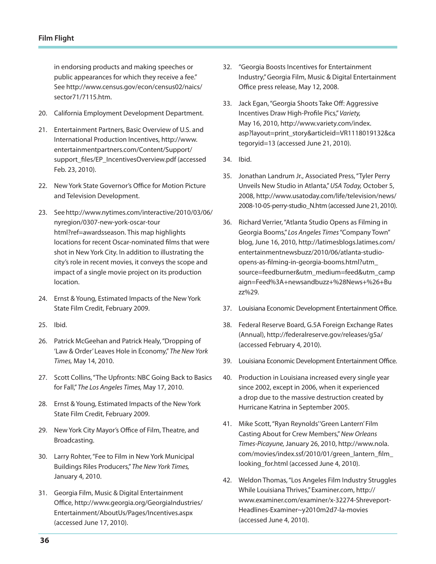in endorsing products and making speeches or public appearances for which they receive a fee." See http://www.census.gov/econ/census02/naics/ sector71/7115.htm.

- 20. California Employment Development Department.
- 21. Entertainment Partners, Basic Overview of U.S. and International Production Incentives, http://www. entertainmentpartners.com/Content/Support/ support\_files/EP\_IncentivesOverview.pdf (accessed Feb. 23, 2010).
- 22. New York State Governor's Office for Motion Picture and Television Development.
- 23. See http://www.nytimes.com/interactive/2010/03/06/ nyregion/0307-new-york-oscar-tour html?ref=awardsseason. This map highlights locations for recent Oscar-nominated films that were shot in New York City. In addition to illustrating the city's role in recent movies, it conveys the scope and impact of a single movie project on its production location.
- 24. Ernst & Young, Estimated Impacts of the New York State Film Credit, February 2009.
- 25. Ibid.
- 26. Patrick McGeehan and Patrick Healy, "Dropping of 'Law & Order' Leaves Hole in Economy," *The New York Times,* May 14, 2010.
- 27. Scott Collins, "The Upfronts: NBC Going Back to Basics for Fall," *The Los Angeles Times,* May 17, 2010.
- 28. Ernst & Young, Estimated Impacts of the New York State Film Credit, February 2009.
- 29. New York City Mayor's Office of Film, Theatre, and Broadcasting.
- 30. Larry Rohter, "Fee to Film in New York Municipal Buildings Riles Producers," *The New York Times,* January 4, 2010.
- 31. Georgia Film, Music & Digital Entertainment Office, http://www.georgia.org/GeorgiaIndustries/ Entertainment/AboutUs/Pages/Incentives.aspx (accessed June 17, 2010).
- 32. "Georgia Boosts Incentives for Entertainment Industry," Georgia Film, Music & Digital Entertainment Office press release, May 12, 2008.
- 33. Jack Egan, "Georgia Shoots Take Off: Aggressive Incentives Draw High-Profile Pics," *Variety,* May 16, 2010, http://www.variety.com/index. asp?layout=print\_story&articleid=VR1118019132&ca tegoryid=13 (accessed June 21, 2010).
- 34. Ibid.
- 35. Jonathan Landrum Jr., Associated Press, "Tyler Perry Unveils New Studio in Atlanta," *USA Today,* October 5, 2008, http://www.usatoday.com/life/television/news/ 2008-10-05-perry-studio\_N.htm (accessed June 21, 2010).
- 36. Richard Verrier, "Atlanta Studio Opens as Filming in Georgia Booms," *Los Angeles Times* "Company Town" blog, June 16, 2010, http://latimesblogs.latimes.com/ entertainmentnewsbuzz/2010/06/atlanta-studioopens-as-filming-in-georgia-booms.html?utm\_ source=feedburner&utm\_medium=feed&utm\_camp aign=Feed%3A+newsandbuzz+%28News+%26+Bu zz%29.
- 37. Louisiana Economic Development Entertainment Office.
- 38. Federal Reserve Board, G.5A Foreign Exchange Rates (Annual), http://federalreserve.gov/releases/g5a/ (accessed February 4, 2010).
- 39. Louisiana Economic Development Entertainment Office.
- 40. Production in Louisiana increased every single year since 2002, except in 2006, when it experienced a drop due to the massive destruction created by Hurricane Katrina in September 2005.
- 41. Mike Scott, "Ryan Reynolds' 'Green Lantern' Film Casting About for Crew Members," *New Orleans Times-Picayune,* January 26, 2010, http://www.nola. com/movies/index.ssf/2010/01/green\_lantern\_film\_ looking\_for.html (accessed June 4, 2010).
- 42. Weldon Thomas, "Los Angeles Film Industry Struggles While Louisiana Thrives," Examiner.com, http:// www.examiner.com/examiner/x-32274-Shreveport-Headlines-Examiner~y2010m2d7-la-movies (accessed June 4, 2010).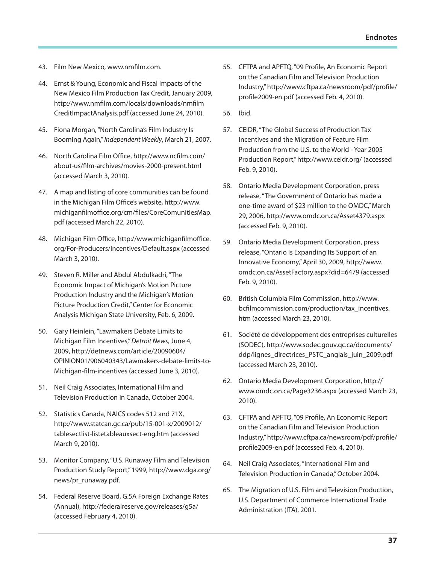- 43. Film New Mexico, www.nmfilm.com.
- 44. Ernst & Young, Economic and Fiscal Impacts of the New Mexico Film Production Tax Credit, January 2009, http://www.nmfilm.com/locals/downloads/nmfilm CreditImpactAnalysis.pdf (accessed June 24, 2010).
- 45. Fiona Morgan, "North Carolina's Film Industry Is Booming Again," *Independent Weekly*, March 21, 2007.
- 46. North Carolina Film Office, http://www.ncfilm.com/ about-us/film-archives/movies-2000-present.html (accessed March 3, 2010).
- 47. A map and listing of core communities can be found in the Michigan Film Office's website, http://www. michiganfilmoffice.org/cm/files/CoreComunitiesMap. pdf (accessed March 22, 2010).
- 48. Michigan Film Office, http://www.michiganfilmoffice. org/For-Producers/Incentives/Default.aspx (accessed March 3, 2010).
- 49. Steven R. Miller and Abdul Abdulkadri, "The Economic Impact of Michigan's Motion Picture Production Industry and the Michigan's Motion Picture Production Credit," Center for Economic Analysis Michigan State University, Feb. 6, 2009.
- 50. Gary Heinlein, "Lawmakers Debate Limits to Michigan Film Incentives," *Detroit News,* June 4, 2009, http://detnews.com/article/20090604/ OPINION01/906040343/Lawmakers-debate-limits-to-Michigan-film-incentives (accessed June 3, 2010).
- 51. Neil Craig Associates, International Film and Television Production in Canada, October 2004.
- 52. Statistics Canada, NAICS codes 512 and 71X, http://www.statcan.gc.ca/pub/15-001-x/2009012/ tablesectlist-listetableauxsect-eng.htm (accessed March 9, 2010).
- 53. Monitor Company, "U.S. Runaway Film and Television Production Study Report," 1999, http://www.dga.org/ news/pr\_runaway.pdf.
- 54. Federal Reserve Board, G.5A Foreign Exchange Rates (Annual), http://federalreserve.gov/releases/g5a/ (accessed February 4, 2010).
- 55. CFTPA and APFTQ, "09 Profile, An Economic Report on the Canadian Film and Television Production Industry," http://www.cftpa.ca/newsroom/pdf/profile/ profile2009-en.pdf (accessed Feb. 4, 2010).
- 56. Ibid.
- 57. CEIDR, "The Global Success of Production Tax Incentives and the Migration of Feature Film Production from the U.S. to the World - Year 2005 Production Report," http://www.ceidr.org/ (accessed Feb. 9, 2010).
- 58. Ontario Media Development Corporation, press release, "The Government of Ontario has made a one-time award of \$23 million to the OMDC," March 29, 2006, http://www.omdc.on.ca/Asset4379.aspx (accessed Feb. 9, 2010).
- 59. Ontario Media Development Corporation, press release, "Ontario Is Expanding Its Support of an Innovative Economy," April 30, 2009, http://www. omdc.on.ca/AssetFactory.aspx?did=6479 (accessed Feb. 9, 2010).
- 60. British Columbia Film Commission, http://www. bcfilmcommission.com/production/tax\_incentives. htm (accessed March 23, 2010).
- 61. Société de développement des entreprises culturelles (SODEC), http://www.sodec.gouv.qc.ca/documents/ ddp/lignes\_directrices\_PSTC\_anglais\_juin\_2009.pdf (accessed March 23, 2010).
- 62. Ontario Media Development Corporation, http:// www.omdc.on.ca/Page3236.aspx (accessed March 23, 2010).
- 63. CFTPA and APFTQ, "09 Profile, An Economic Report on the Canadian Film and Television Production Industry," http://www.cftpa.ca/newsroom/pdf/profile/ profile2009-en.pdf (accessed Feb. 4, 2010).
- 64. Neil Craig Associates, "International Film and Television Production in Canada," October 2004.
- 65. The Migration of U.S. Film and Television Production, U.S. Department of Commerce International Trade Administration (ITA), 2001.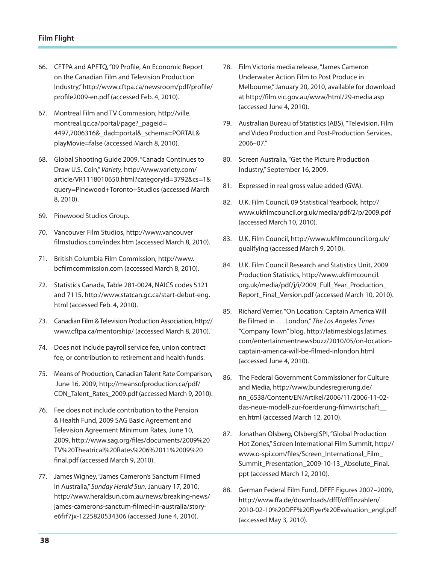- 66. CFTPA and APFTQ, "09 Profile, An Economic Report on the Canadian Film and Television Production Industry," http://www.cftpa.ca/newsroom/pdf/profile/ profile2009-en.pdf (accessed Feb. 4, 2010).
- 67. Montreal Film and TV Commission, http://ville. montreal.qc.ca/portal/page?\_pageid= 4497,7006316&\_dad=portal&\_schema=PORTAL& playMovie=false (accessed March 8, 2010).
- 68. Global Shooting Guide 2009, "Canada Continues to Draw U.S. Coin," *Variety,* http://www.variety.com/ article/VR1118010650.html?categoryid=3792&cs=1& query=Pinewood+Toronto+Studios (accessed March 8, 2010).
- 69. Pinewood Studios Group.
- 70. Vancouver Film Studios, http://www.vancouver filmstudios.com/index.htm (accessed March 8, 2010).
- 71. British Columbia Film Commission, http://www. bcfilmcommission.com (accessed March 8, 2010).
- 72. Statistics Canada, Table 281-0024, NAICS codes 5121 and 7115, http://www.statcan.gc.ca/start-debut-eng. html (accessed Feb. 4, 2010).
- 73. Canadian Film & Television Production Association, http:// www.cftpa.ca/mentorship/ (accessed March 8, 2010).
- 74. Does not include payroll service fee, union contract fee, or contribution to retirement and health funds.
- 75. Means of Production, Canadian Talent Rate Comparison, June 16, 2009, http://meansofproduction.ca/pdf/ CDN\_Talent\_Rates\_2009.pdf (accessed March 9, 2010).
- 76. Fee does not include contribution to the Pension & Health Fund, 2009 SAG Basic Agreement and Television Agreement Minimum Rates, June 10, 2009, http://www.sag.org/files/documents/2009%20 TV%20Theatrical%20Rates%206%2011%2009%20 final.pdf (accessed March 9, 2010).
- 77. James Wigney, "James Cameron's Sanctum Filmed in Australia," *Sunday Herald Sun,* January 17, 2010, http://www.heraldsun.com.au/news/breaking-news/ james-camerons-sanctum-filmed-in-australia/storye6frf7jx-1225820534306 (accessed June 4, 2010).
- 78. Film Victoria media release, "James Cameron Underwater Action Film to Post Produce in Melbourne," January 20, 2010, available for download at http://film.vic.gov.au/www/html/29-media.asp (accessed June 4, 2010).
- 79. Australian Bureau of Statistics (ABS), "Television, Film and Video Production and Post-Production Services, 2006–07."
- 80. Screen Australia, "Get the Picture Production Industry," September 16, 2009.
- 81. Expressed in real gross value added (GVA).
- 82. U.K. Film Council, 09 Statistical Yearbook, http:// www.ukfilmcouncil.org.uk/media/pdf/2/p/2009.pdf (accessed March 10, 2010).
- 83. U.K. Film Council, http://www.ukfilmcouncil.org.uk/ qualifying (accessed March 9, 2010).
- 84. U.K. Film Council Research and Statistics Unit, 2009 Production Statistics, http://www.ukfilmcouncil. org.uk/media/pdf/j/i/2009\_Full\_Year\_Production\_ Report\_Final\_Version.pdf (accessed March 10, 2010).
- 85. Richard Verrier, "On Location: Captain America Will Be Filmed in . . . London," *The Los Angeles Times* "Company Town" blog, http://latimesblogs.latimes. com/entertainmentnewsbuzz/2010/05/on-locationcaptain-america-will-be-filmed-inlondon.html (accessed June 4, 2010).
- 86. The Federal Government Commissioner for Culture and Media, http://www.bundesregierung.de/ nn\_6538/Content/EN/Artikel/2006/11/2006-11-02 das-neue-modell-zur-foerderung-filmwirtschaft\_\_ en.html (accessed March 12, 2010).
- 87. Jonathan Olsberg, Olsberg|SPI, "Global Production Hot Zones," Screen International Film Summit, http:// www.o-spi.com/files/Screen\_International\_Film\_ Summit\_Presentation\_2009-10-13\_Absolute\_Final. ppt (accessed March 12, 2010).
- 88. German Federal Film Fund, DFFF Figures 2007–2009, http://www.ffa.de/downloads/dfff/dfffinzahlen/ 2010-02-10%20DFF%20Flyer%20Evaluation\_engl.pdf (accessed May 3, 2010).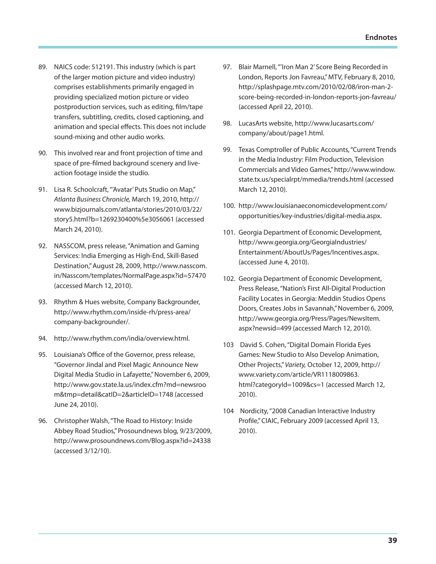- 89. NAICS code: 512191. This industry (which is part of the larger motion picture and video industry) comprises establishments primarily engaged in providing specialized motion picture or video postproduction services, such as editing, film/tape transfers, subtitling, credits, closed captioning, and animation and special effects. This does not include sound-mixing and other audio works.
- 90. This involved rear and front projection of time and space of pre-filmed background scenery and liveaction footage inside the studio.
- 91. Lisa R. Schoolcraft, "'Avatar' Puts Studio on Map," *Atlanta Business Chronicle,* March 19, 2010, http:// www.bizjournals.com/atlanta/stories/2010/03/22/ story5.html?b=1269230400%5e3056061 (accessed March 24, 2010).
- 92. NASSCOM, press release, "Animation and Gaming Services: India Emerging as High-End, Skill-Based Destination," August 28, 2009, http://www.nasscom. in/Nasscom/templates/NormalPage.aspx?id=57470 (accessed March 12, 2010).
- 93. Rhythm & Hues website, Company Backgrounder, http://www.rhythm.com/inside-rh/press-area/ company-backgrounder/.
- 94. http://www.rhythm.com/india/overview.html.
- 95. Louisiana's Office of the Governor, press release, "Governor Jindal and Pixel Magic Announce New Digital Media Studio in Lafayette," November 6, 2009, http://www.gov.state.la.us/index.cfm?md=newsroo m&tmp=detail&catID=2&articleID=1748 (accessed June 24, 2010).
- 96. Christopher Walsh, "The Road to History: Inside Abbey Road Studios," Prosoundnews blog, 9/23/2009, http://www.prosoundnews.com/Blog.aspx?id=24338 (accessed 3/12/10).
- 97. Blair Marnell, "'Iron Man 2' Score Being Recorded in London, Reports Jon Favreau," MTV, February 8, 2010, http://splashpage.mtv.com/2010/02/08/iron-man-2 score-being-recorded-in-london-reports-jon-favreau/ (accessed April 22, 2010).
- 98. LucasArts website, http://www.lucasarts.com/ company/about/page1.html.
- 99. Texas Comptroller of Public Accounts, "Current Trends in the Media Industry: Film Production, Television Commercials and Video Games," http://www.window. state.tx.us/specialrpt/mmedia/trends.html (accessed March 12, 2010).
- 100. http://www.louisianaeconomicdevelopment.com/ opportunities/key-industries/digital-media.aspx.
- 101. Georgia Department of Economic Development, http://www.georgia.org/GeorgiaIndustries/ Entertainment/AboutUs/Pages/Incentives.aspx. (accessed June 4, 2010).
- 102. Georgia Department of Economic Development, Press Release, "Nation's First All-Digital Production Facility Locates in Georgia: Meddin Studios Opens Doors, Creates Jobs in Savannah," November 6, 2009, http://www.georgia.org/Press/Pages/NewsItem. aspx?newsid=499 (accessed March 12, 2010).
- 103 David S. Cohen, "Digital Domain Florida Eyes Games: New Studio to Also Develop Animation, Other Projects," *Variety,* October 12, 2009, http:// www.variety.com/article/VR1118009863. html?categoryId=1009&cs=1 (accessed March 12, 2010).
- 104 Nordicity, "2008 Canadian Interactive Industry Profile," CIAIC, February 2009 (accessed April 13, 2010).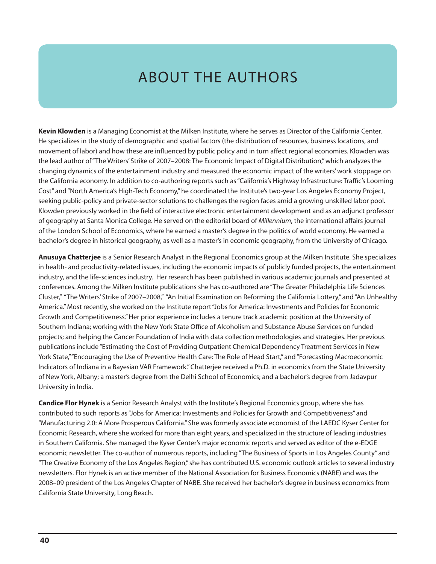# ABOUT THE AUTHORS

**Kevin Klowden** is a Managing Economist at the Milken Institute, where he serves as Director of the California Center. He specializes in the study of demographic and spatial factors (the distribution of resources, business locations, and movement of labor) and how these are influenced by public policy and in turn affect regional economies. Klowden was the lead author of "The Writers' Strike of 2007–2008: The Economic Impact of Digital Distribution," which analyzes the changing dynamics of the entertainment industry and measured the economic impact of the writers' work stoppage on the California economy. In addition to co-authoring reports such as "California's Highway Infrastructure: Traffic's Looming Cost" and "North America's High-Tech Economy," he coordinated the Institute's two-year Los Angeles Economy Project, seeking public-policy and private-sector solutions to challenges the region faces amid a growing unskilled labor pool. Klowden previously worked in the field of interactive electronic entertainment development and as an adjunct professor of geography at Santa Monica College. He served on the editorial board of *Millennium*, the international affairs journal of the London School of Economics, where he earned a master's degree in the politics of world economy. He earned a bachelor's degree in historical geography, as well as a master's in economic geography, from the University of Chicago.

**Anusuya Chatterjee** is a Senior Research Analyst in the Regional Economics group at the Milken Institute. She specializes in health- and productivity-related issues, including the economic impacts of publicly funded projects, the entertainment industry, and the life-sciences industry. Her research has been published in various academic journals and presented at conferences. Among the Milken Institute publications she has co-authored are "The Greater Philadelphia Life Sciences Cluster," "The Writers' Strike of 2007–2008," "An Initial Examination on Reforming the California Lottery," and "An Unhealthy America." Most recently, she worked on the Institute report "Jobs for America: Investments and Policies for Economic Growth and Competitiveness." Her prior experience includes a tenure track academic position at the University of Southern Indiana; working with the New York State Office of Alcoholism and Substance Abuse Services on funded projects; and helping the Cancer Foundation of India with data collection methodologies and strategies. Her previous publications include "Estimating the Cost of Providing Outpatient Chemical Dependency Treatment Services in New York State," "Encouraging the Use of Preventive Health Care: The Role of Head Start," and "Forecasting Macroeconomic Indicators of Indiana in a Bayesian VAR Framework." Chatterjee received a Ph.D. in economics from the State University of New York, Albany; a master's degree from the Delhi School of Economics; and a bachelor's degree from Jadavpur University in India.

**Candice Flor Hynek** is a Senior Research Analyst with the Institute's Regional Economics group, where she has contributed to such reports as "Jobs for America: Investments and Policies for Growth and Competitiveness" and "Manufacturing 2.0: A More Prosperous California." She was formerly associate economist of the LAEDC Kyser Center for Economic Research, where she worked for more than eight years, and specialized in the structure of leading industries in Southern California. She managed the Kyser Center's major economic reports and served as editor of the e-EDGE economic newsletter. The co-author of numerous reports, including "The Business of Sports in Los Angeles County" and "The Creative Economy of the Los Angeles Region," she has contributed U.S. economic outlook articles to several industry newsletters. Flor Hynek is an active member of the National Association for Business Economics (NABE) and was the 2008–09 president of the Los Angeles Chapter of NABE. She received her bachelor's degree in business economics from California State University, Long Beach.